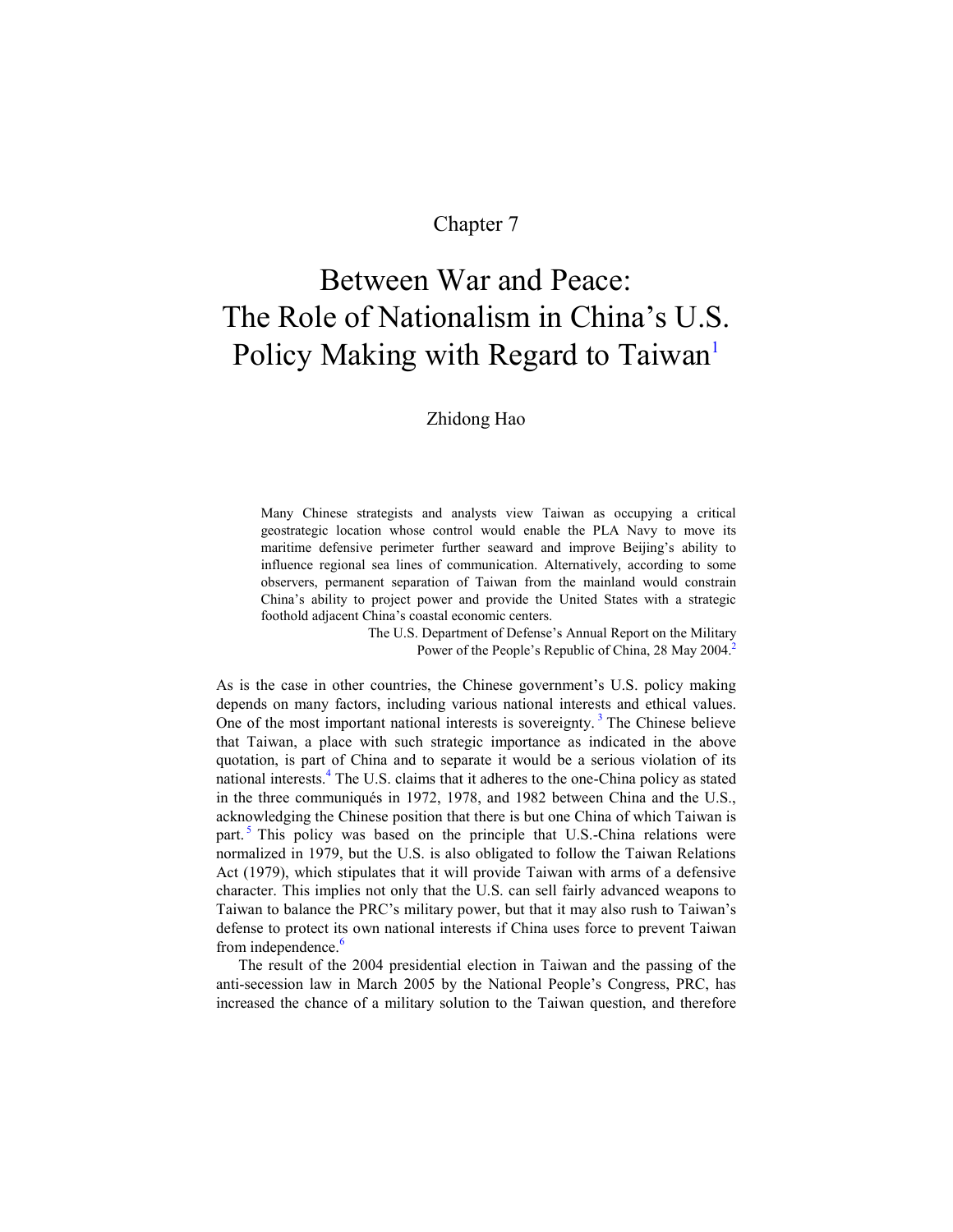# Chapter 7

# Between War and Peace: The Role of Nationalism in China's U.S. Policy Making with Regard to Taiwan<sup>1</sup>

Zhidong Hao

Many Chinese strategists and analysts view Taiwan as occupying a critical geostrategic location whose control would enable the PLA Navy to move its maritime defensive perimeter further seaward and improve Beijing's ability to influence regional sea lines of communication. Alternatively, according to some observers, permanent separation of Taiwan from the mainland would constrain China's ability to project power and provide the United States with a strategic foothold adjacent China's coastal economic centers.

> The U.S. Department of Defense's Annual Report on the Military Power of the People's Republic of China, 28 May 2004.<sup>2</sup>

As is the case in other countries, the Chinese government's U.S. policy making depends on many factors, including various national interests and ethical values. One of the most important national interests is sovereignty.<sup>3</sup> The Chinese believe that Taiwan, a place with such strategic importance as indicated in the above quotation, is part of China and to separate it would be a serious violation of its national interests.<sup>4</sup> The U.S. claims that it adheres to the one-China policy as stated in the three communiqués in 1972, 1978, and 1982 between China and the U.S., acknowledging the Chinese position that there is but one China of which Taiwan is part. 5 This policy was based on the principle that U.S.-China relations were normalized in 1979, but the U.S. is also obligated to follow the Taiwan Relations Act (1979), which stipulates that it will provide Taiwan with arms of a defensive character. This implies not only that the U.S. can sell fairly advanced weapons to Taiwan to balance the PRC's military power, but that it may also rush to Taiwan's defense to protect its own national interests if China uses force to prevent Taiwan from independence.<sup>6</sup>

The result of the 2004 presidential election in Taiwan and the passing of the anti-secession law in March 2005 by the National People's Congress, PRC, has increased the chance of a military solution to the Taiwan question, and therefore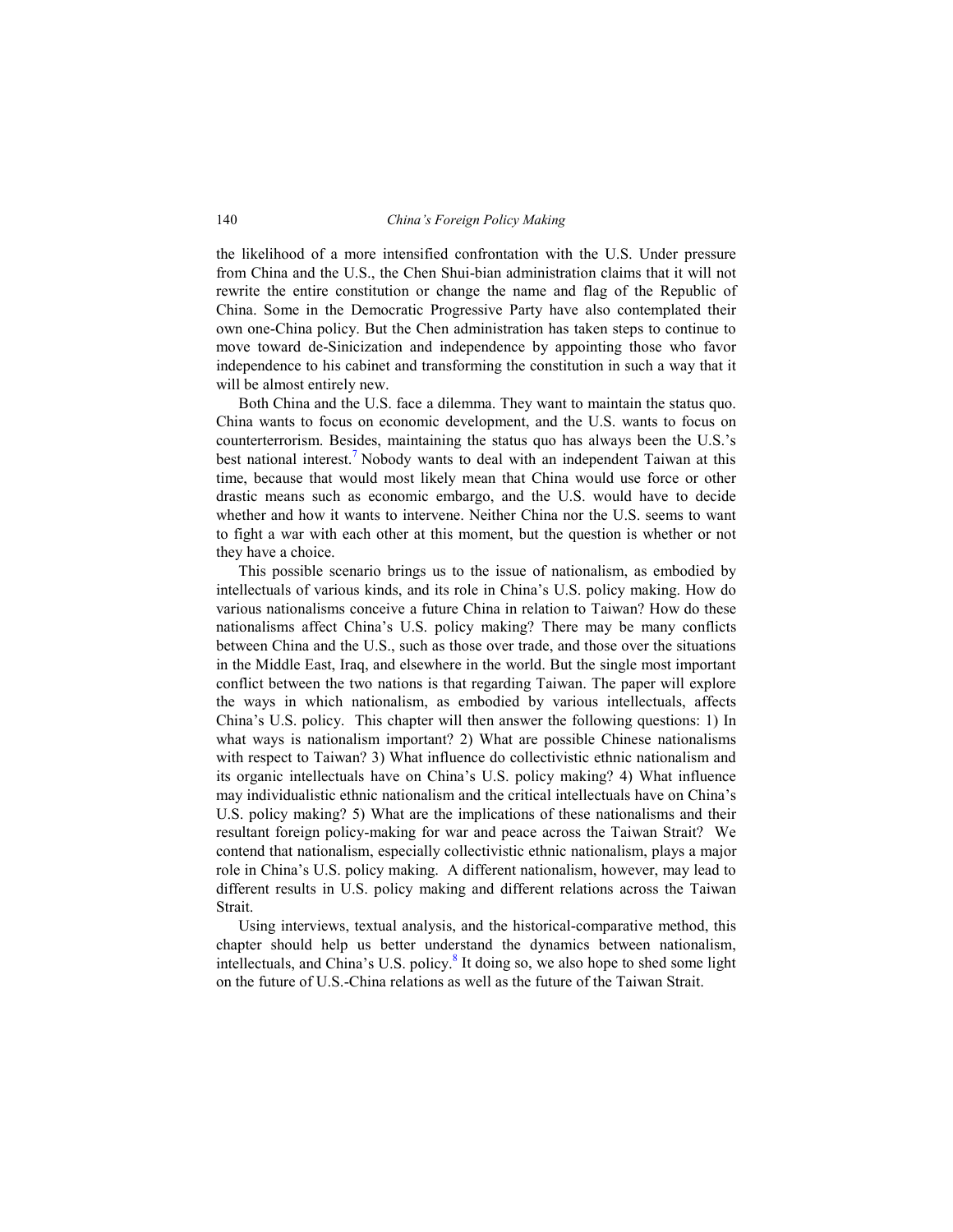the likelihood of a more intensified confrontation with the U.S. Under pressure from China and the U.S., the Chen Shui-bian administration claims that it will not rewrite the entire constitution or change the name and flag of the Republic of China. Some in the Democratic Progressive Party have also contemplated their own one-China policy. But the Chen administration has taken steps to continue to move toward de-Sinicization and independence by appointing those who favor independence to his cabinet and transforming the constitution in such a way that it will be almost entirely new.

Both China and the U.S. face a dilemma. They want to maintain the status quo. China wants to focus on economic development, and the U.S. wants to focus on counterterrorism. Besides, maintaining the status quo has always been the U.S.'s best national interest.<sup>7</sup> Nobody wants to deal with an independent Taiwan at this time, because that would most likely mean that China would use force or other drastic means such as economic embargo, and the U.S. would have to decide whether and how it wants to intervene. Neither China nor the U.S. seems to want to fight a war with each other at this moment, but the question is whether or not they have a choice.

This possible scenario brings us to the issue of nationalism, as embodied by intellectuals of various kinds, and its role in China's U.S. policy making. How do various nationalisms conceive a future China in relation to Taiwan? How do these nationalisms affect China's U.S. policy making? There may be many conflicts between China and the U.S., such as those over trade, and those over the situations in the Middle East, Iraq, and elsewhere in the world. But the single most important conflict between the two nations is that regarding Taiwan. The paper will explore the ways in which nationalism, as embodied by various intellectuals, affects China's U.S. policy. This chapter will then answer the following questions: 1) In what ways is nationalism important? 2) What are possible Chinese nationalisms with respect to Taiwan? 3) What influence do collectivistic ethnic nationalism and its organic intellectuals have on China's U.S. policy making? 4) What influence may individualistic ethnic nationalism and the critical intellectuals have on China's U.S. policy making? 5) What are the implications of these nationalisms and their resultant foreign policy-making for war and peace across the Taiwan Strait? We contend that nationalism, especially collectivistic ethnic nationalism, plays a major role in China's U.S. policy making. A different nationalism, however, may lead to different results in U.S. policy making and different relations across the Taiwan Strait.

Using interviews, textual analysis, and the historical-comparative method, this chapter should help us better understand the dynamics between nationalism, intellectuals, and China's U.S. policy.<sup>8</sup> It doing so, we also hope to shed some light on the future of U.S.-China relations as well as the future of the Taiwan Strait.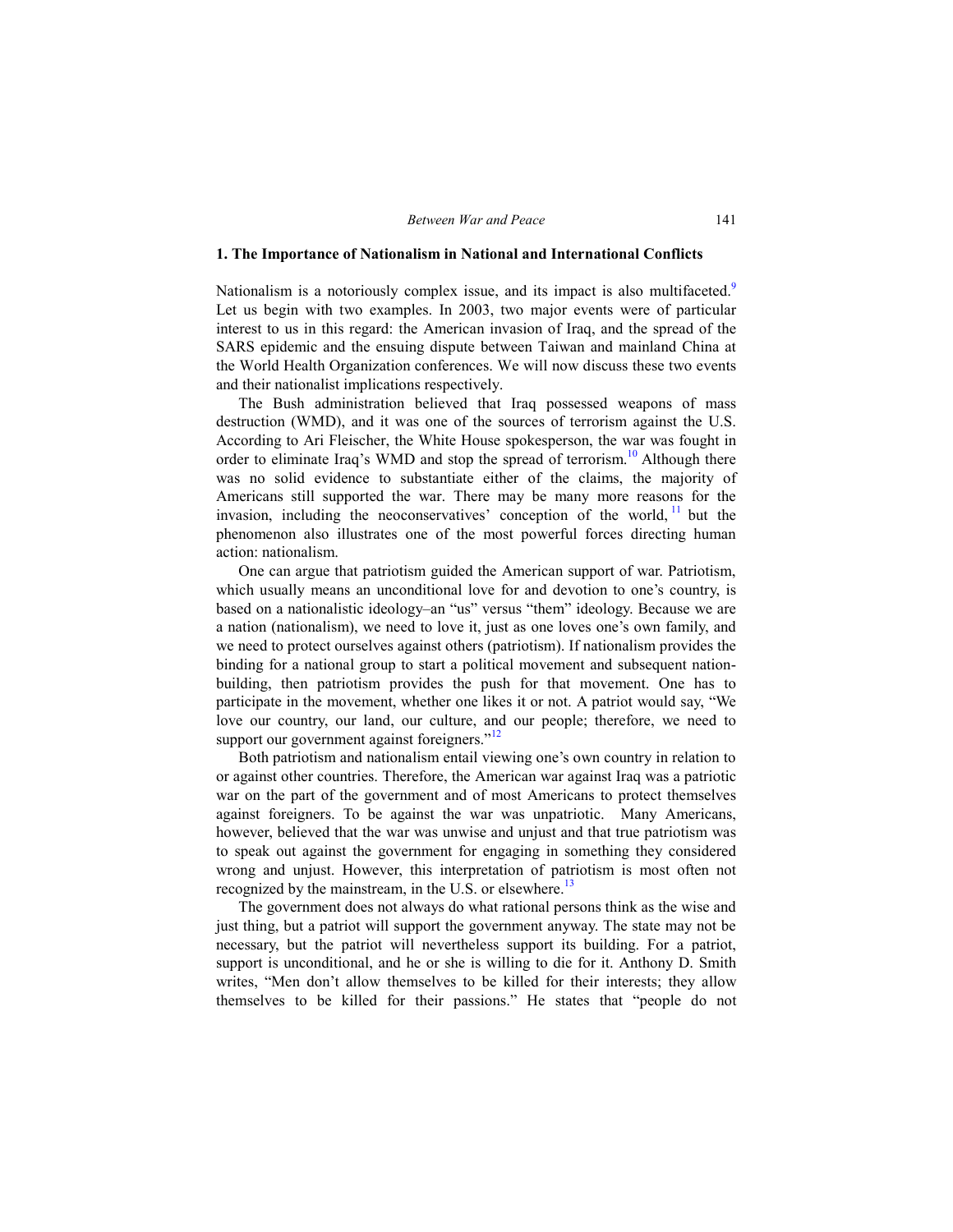#### **1. The Importance of Nationalism in National and International Conflicts**

Nationalism is a notoriously complex issue, and its impact is also multifaceted.<sup>9</sup> Let us begin with two examples. In 2003, two major events were of particular interest to us in this regard: the American invasion of Iraq, and the spread of the SARS epidemic and the ensuing dispute between Taiwan and mainland China at the World Health Organization conferences. We will now discuss these two events and their nationalist implications respectively.

The Bush administration believed that Iraq possessed weapons of mass destruction (WMD), and it was one of the sources of terrorism against the U.S. According to Ari Fleischer, the White House spokesperson, the war was fought in order to eliminate Iraq's WMD and stop the spread of terrorism.<sup>10</sup> Although there was no solid evidence to substantiate either of the claims, the majority of Americans still supported the war. There may be many more reasons for the invasion, including the neoconservatives' conception of the world,  $\frac{11}{11}$  but the phenomenon also illustrates one of the most powerful forces directing human action: nationalism.

One can argue that patriotism guided the American support of war. Patriotism, which usually means an unconditional love for and devotion to one's country, is based on a nationalistic ideology–an "us" versus "them" ideology. Because we are a nation (nationalism), we need to love it, just as one loves one's own family, and we need to protect ourselves against others (patriotism). If nationalism provides the binding for a national group to start a political movement and subsequent nationbuilding, then patriotism provides the push for that movement. One has to participate in the movement, whether one likes it or not. A patriot would say, "We love our country, our land, our culture, and our people; therefore, we need to support our government against foreigners." $12$ 

Both patriotism and nationalism entail viewing one's own country in relation to or against other countries. Therefore, the American war against Iraq was a patriotic war on the part of the government and of most Americans to protect themselves against foreigners. To be against the war was unpatriotic. Many Americans, however, believed that the war was unwise and unjust and that true patriotism was to speak out against the government for engaging in something they considered wrong and unjust. However, this interpretation of patriotism is most often not recognized by the mainstream, in the U.S. or elsewhere.<sup>13</sup>

The government does not always do what rational persons think as the wise and just thing, but a patriot will support the government anyway. The state may not be necessary, but the patriot will nevertheless support its building. For a patriot, support is unconditional, and he or she is willing to die for it. Anthony D. Smith writes, "Men don't allow themselves to be killed for their interests; they allow themselves to be killed for their passions." He states that "people do not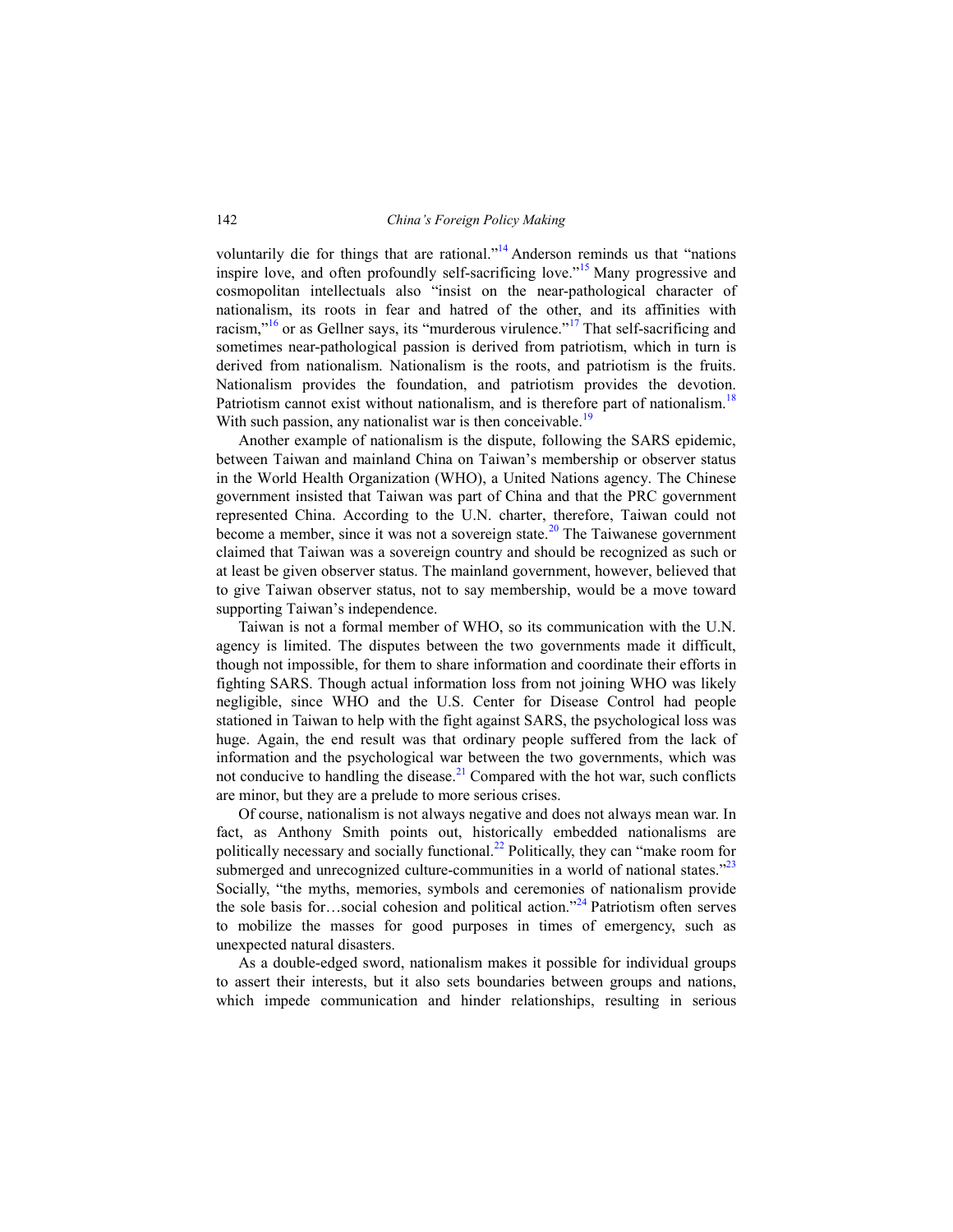voluntarily die for things that are rational."<sup>14</sup> Anderson reminds us that "nations" inspire love, and often profoundly self-sacrificing love."15 Many progressive and cosmopolitan intellectuals also "insist on the near-pathological character of nationalism, its roots in fear and hatred of the other, and its affinities with racism,"<sup>16</sup> or as Gellner says, its "murderous virulence."<sup>17</sup> That self-sacrificing and sometimes near-pathological passion is derived from patriotism, which in turn is derived from nationalism. Nationalism is the roots, and patriotism is the fruits. Nationalism provides the foundation, and patriotism provides the devotion. Patriotism cannot exist without nationalism, and is therefore part of nationalism.<sup>18</sup> With such passion, any nationalist war is then conceivable.<sup>19</sup>

Another example of nationalism is the dispute, following the SARS epidemic, between Taiwan and mainland China on Taiwan's membership or observer status in the World Health Organization (WHO), a United Nations agency. The Chinese government insisted that Taiwan was part of China and that the PRC government represented China. According to the U.N. charter, therefore, Taiwan could not become a member, since it was not a sovereign state.<sup>20</sup> The Taiwanese government claimed that Taiwan was a sovereign country and should be recognized as such or at least be given observer status. The mainland government, however, believed that to give Taiwan observer status, not to say membership, would be a move toward supporting Taiwan's independence.

Taiwan is not a formal member of WHO, so its communication with the U.N. agency is limited. The disputes between the two governments made it difficult, though not impossible, for them to share information and coordinate their efforts in fighting SARS. Though actual information loss from not joining WHO was likely negligible, since WHO and the U.S. Center for Disease Control had people stationed in Taiwan to help with the fight against SARS, the psychological loss was huge. Again, the end result was that ordinary people suffered from the lack of information and the psychological war between the two governments, which was not conducive to handling the disease. $21$  Compared with the hot war, such conflicts are minor, but they are a prelude to more serious crises.

Of course, nationalism is not always negative and does not always mean war. In fact, as Anthony Smith points out, historically embedded nationalisms are politically necessary and socially functional.<sup>22</sup> Politically, they can "make room for submerged and unrecognized culture-communities in a world of national states.<sup> $23$ </sup> Socially, "the myths, memories, symbols and ceremonies of nationalism provide the sole basis for...social cohesion and political action."<sup>24</sup> Patriotism often serves to mobilize the masses for good purposes in times of emergency, such as unexpected natural disasters.

As a double-edged sword, nationalism makes it possible for individual groups to assert their interests, but it also sets boundaries between groups and nations, which impede communication and hinder relationships, resulting in serious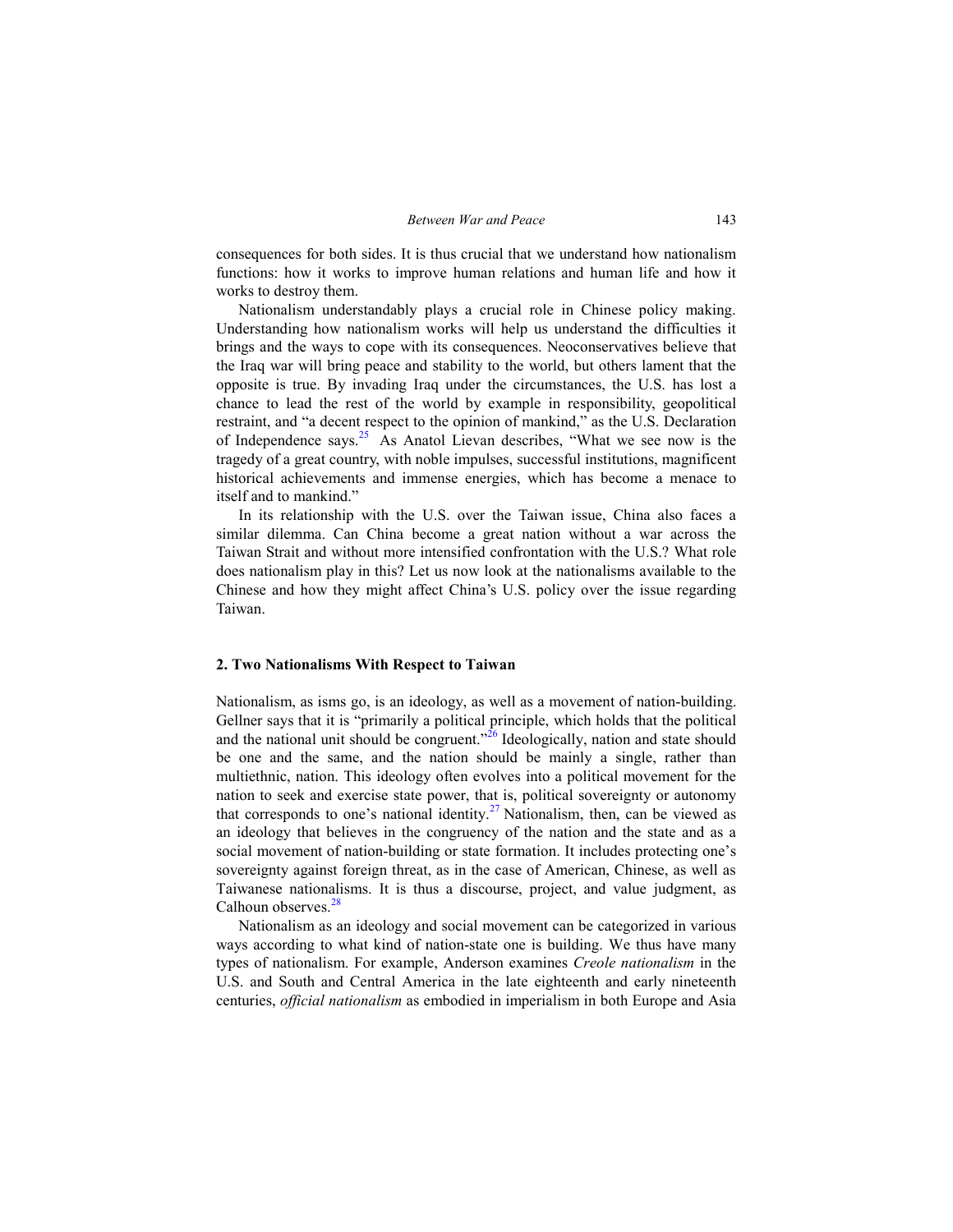consequences for both sides. It is thus crucial that we understand how nationalism functions: how it works to improve human relations and human life and how it works to destroy them.

Nationalism understandably plays a crucial role in Chinese policy making. Understanding how nationalism works will help us understand the difficulties it brings and the ways to cope with its consequences. Neoconservatives believe that the Iraq war will bring peace and stability to the world, but others lament that the opposite is true. By invading Iraq under the circumstances, the U.S. has lost a chance to lead the rest of the world by example in responsibility, geopolitical restraint, and "a decent respect to the opinion of mankind," as the U.S. Declaration of Independence says. $25$  As Anatol Lievan describes, "What we see now is the tragedy of a great country, with noble impulses, successful institutions, magnificent historical achievements and immense energies, which has become a menace to itself and to mankind."

In its relationship with the U.S. over the Taiwan issue, China also faces a similar dilemma. Can China become a great nation without a war across the Taiwan Strait and without more intensified confrontation with the U.S.? What role does nationalism play in this? Let us now look at the nationalisms available to the Chinese and how they might affect China's U.S. policy over the issue regarding Taiwan.

### **2. Two Nationalisms With Respect to Taiwan**

Nationalism, as isms go, is an ideology, as well as a movement of nation-building. Gellner says that it is "primarily a political principle, which holds that the political and the national unit should be congruent." $\frac{36}{6}$  Ideologically, nation and state should be one and the same, and the nation should be mainly a single, rather than multiethnic, nation. This ideology often evolves into a political movement for the nation to seek and exercise state power, that is, political sovereignty or autonomy that corresponds to one's national identity.<sup>27</sup> Nationalism, then, can be viewed as an ideology that believes in the congruency of the nation and the state and as a social movement of nation-building or state formation. It includes protecting one's sovereignty against foreign threat, as in the case of American, Chinese, as well as Taiwanese nationalisms. It is thus a discourse, project, and value judgment, as Calhoun observes. $28$ 

Nationalism as an ideology and social movement can be categorized in various ways according to what kind of nation-state one is building. We thus have many types of nationalism. For example, Anderson examines *Creole nationalism* in the U.S. and South and Central America in the late eighteenth and early nineteenth centuries, *official nationalism* as embodied in imperialism in both Europe and Asia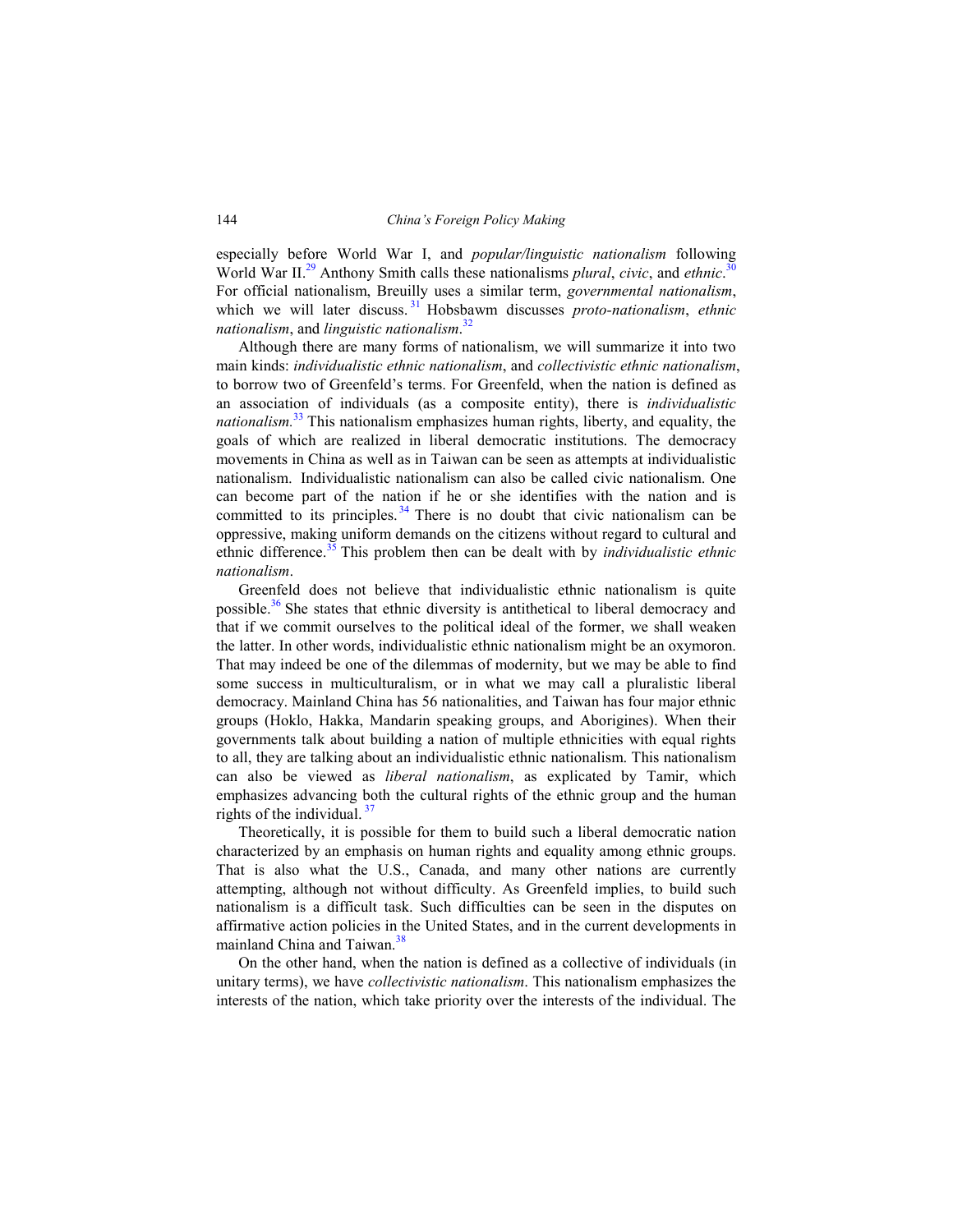especially before World War I, and *popular/linguistic nationalism* following World War II.<sup>29</sup> Anthony Smith calls these nationalisms *plural*, *civic*, and *ethnic*.<sup>30</sup> For official nationalism, Breuilly uses a similar term, *governmental nationalism*, which we will later discuss.<sup>31</sup> Hobsbawm discusses *proto-nationalism*, *ethnic nationalism*, and *linguistic nationalism*. 32

Although there are many forms of nationalism, we will summarize it into two main kinds: *individualistic ethnic nationalism*, and *collectivistic ethnic nationalism*, to borrow two of Greenfeld's terms. For Greenfeld, when the nation is defined as an association of individuals (as a composite entity), there is *individualistic nationalism.*33 This nationalism emphasizes human rights, liberty, and equality, the goals of which are realized in liberal democratic institutions. The democracy movements in China as well as in Taiwan can be seen as attempts at individualistic nationalism. Individualistic nationalism can also be called civic nationalism. One can become part of the nation if he or she identifies with the nation and is committed to its principles.<sup>34</sup> There is no doubt that civic nationalism can be oppressive, making uniform demands on the citizens without regard to cultural and ethnic difference.35 This problem then can be dealt with by *individualistic ethnic nationalism*.

Greenfeld does not believe that individualistic ethnic nationalism is quite possible. $36$  She states that ethnic diversity is antithetical to liberal democracy and that if we commit ourselves to the political ideal of the former, we shall weaken the latter. In other words, individualistic ethnic nationalism might be an oxymoron. That may indeed be one of the dilemmas of modernity, but we may be able to find some success in multiculturalism, or in what we may call a pluralistic liberal democracy. Mainland China has 56 nationalities, and Taiwan has four major ethnic groups (Hoklo, Hakka, Mandarin speaking groups, and Aborigines). When their governments talk about building a nation of multiple ethnicities with equal rights to all, they are talking about an individualistic ethnic nationalism. This nationalism can also be viewed as *liberal nationalism*, as explicated by Tamir, which emphasizes advancing both the cultural rights of the ethnic group and the human rights of the individual.  $37$ 

Theoretically, it is possible for them to build such a liberal democratic nation characterized by an emphasis on human rights and equality among ethnic groups. That is also what the U.S., Canada, and many other nations are currently attempting, although not without difficulty. As Greenfeld implies, to build such nationalism is a difficult task. Such difficulties can be seen in the disputes on affirmative action policies in the United States, and in the current developments in mainland China and Taiwan.<sup>38</sup>

On the other hand, when the nation is defined as a collective of individuals (in unitary terms), we have *collectivistic nationalism*. This nationalism emphasizes the interests of the nation, which take priority over the interests of the individual. The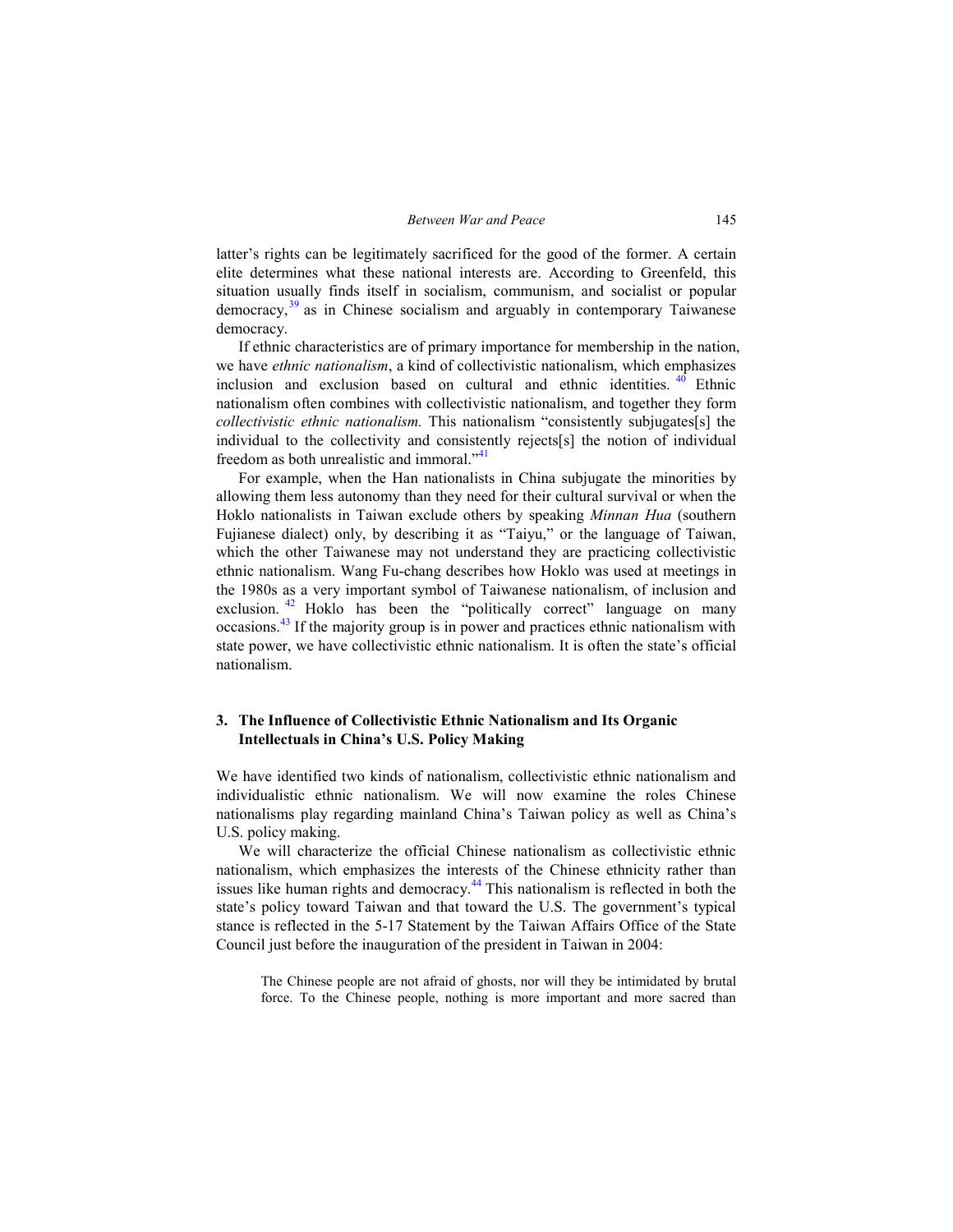latter's rights can be legitimately sacrificed for the good of the former. A certain elite determines what these national interests are. According to Greenfeld, this situation usually finds itself in socialism, communism, and socialist or popular democracy, $39$  as in Chinese socialism and arguably in contemporary Taiwanese democracy.

If ethnic characteristics are of primary importance for membership in the nation, we have *ethnic nationalism*, a kind of collectivistic nationalism, which emphasizes inclusion and exclusion based on cultural and ethnic identities.  $40$  Ethnic nationalism often combines with collectivistic nationalism, and together they form *collectivistic ethnic nationalism.* This nationalism "consistently subjugates[s] the individual to the collectivity and consistently rejects[s] the notion of individual freedom as both unrealistic and immoral.<sup>341</sup>

For example, when the Han nationalists in China subjugate the minorities by allowing them less autonomy than they need for their cultural survival or when the Hoklo nationalists in Taiwan exclude others by speaking *Minnan Hua* (southern Fujianese dialect) only, by describing it as "Taiyu," or the language of Taiwan, which the other Taiwanese may not understand they are practicing collectivistic ethnic nationalism. Wang Fu-chang describes how Hoklo was used at meetings in the 1980s as a very important symbol of Taiwanese nationalism, of inclusion and exclusion. <sup>42</sup> Hoklo has been the "politically correct" language on many occasions.43 If the majority group is in power and practices ethnic nationalism with state power, we have collectivistic ethnic nationalism. It is often the state's official nationalism.

# **3. The Influence of Collectivistic Ethnic Nationalism and Its Organic Intellectuals in China's U.S. Policy Making**

We have identified two kinds of nationalism, collectivistic ethnic nationalism and individualistic ethnic nationalism. We will now examine the roles Chinese nationalisms play regarding mainland China's Taiwan policy as well as China's U.S. policy making.

We will characterize the official Chinese nationalism as collectivistic ethnic nationalism, which emphasizes the interests of the Chinese ethnicity rather than issues like human rights and democracy.<sup>44</sup> This nationalism is reflected in both the state's policy toward Taiwan and that toward the U.S. The government's typical stance is reflected in the 5-17 Statement by the Taiwan Affairs Office of the State Council just before the inauguration of the president in Taiwan in 2004:

The Chinese people are not afraid of ghosts, nor will they be intimidated by brutal force. To the Chinese people, nothing is more important and more sacred than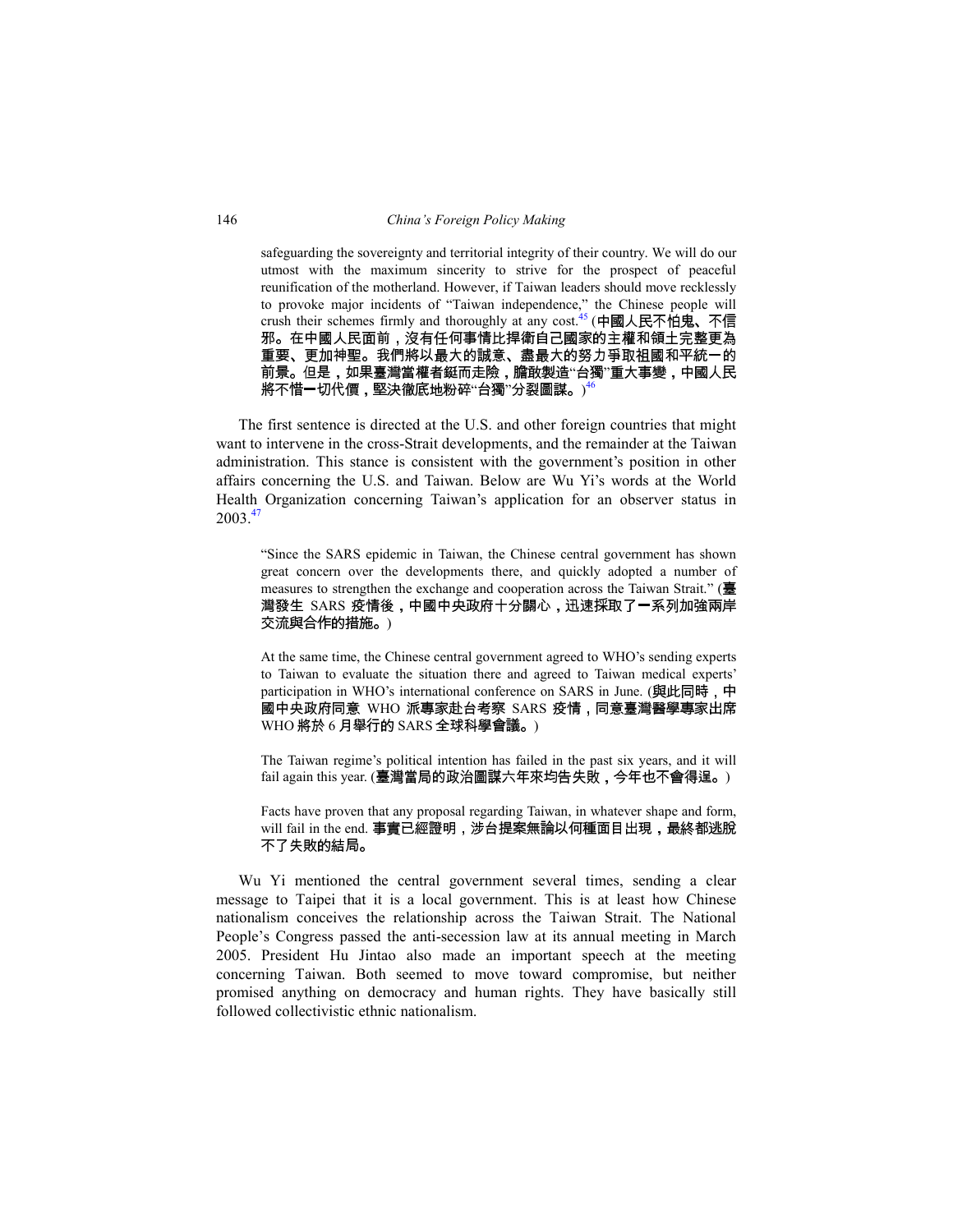safeguarding the sovereignty and territorial integrity of their country. We will do our utmost with the maximum sincerity to strive for the prospect of peaceful reunification of the motherland. However, if Taiwan leaders should move recklessly to provoke major incidents of "Taiwan independence," the Chinese people will crush their schemes firmly and thoroughly at any cost.<sup>45</sup> (中國人民不怕鬼、不信 邪。在中國人民面前,沒有任何事情比捍衛自己國家的主權和領土完整更為 重要、更加神聖。我們將以最大的誠意、盡最大的努力爭取祖國和平統一的 前景。但是,如果臺灣當權者鋌而走險,膽敢製造"台獨"重大事變,中國人民 "台獨"分裂圖謀。) $^{46}$ 

The first sentence is directed at the U.S. and other foreign countries that might want to intervene in the cross-Strait developments, and the remainder at the Taiwan administration. This stance is consistent with the government's position in other affairs concerning the U.S. and Taiwan. Below are Wu Yi's words at the World Health Organization concerning Taiwan's application for an observer status in  $2003^{47}$ 

"Since the SARS epidemic in Taiwan, the Chinese central government has shown great concern over the developments there, and quickly adopted a number of measures to strengthen the exchange and cooperation across the Taiwan Strait." ( $\bar{\Xi}$ ) 灣發生 SARS 疫情後,中國中央政府十分關心,迅速採取了一系列加強兩岸 交流與合作的措施。)

At the same time, the Chinese central government agreed to WHO's sending experts to Taiwan to evaluate the situation there and agreed to Taiwan medical experts' participation in WHO's international conference on SARS in June. (與此同時, 中 國中央政府同意 WHO 派專家赴台考察 SARS 疫情,同意臺灣醫學專家出席 WHO 將於 6 月舉行的 SARS 全球科學會議。)

The Taiwan regime's political intention has failed in the past six years, and it will fail again this year. (臺灣當局的政治圖謀六年來均告失敗,今年也不會得逞。)

Facts have proven that any proposal regarding Taiwan, in whatever shape and form, will fail in the end. 事實已經證明,涉台提案無論以何種面目出現,最終都逃脫 不了失敗的結局。

Wu Yi mentioned the central government several times, sending a clear message to Taipei that it is a local government. This is at least how Chinese nationalism conceives the relationship across the Taiwan Strait. The National People's Congress passed the anti-secession law at its annual meeting in March 2005. President Hu Jintao also made an important speech at the meeting concerning Taiwan. Both seemed to move toward compromise, but neither promised anything on democracy and human rights. They have basically still followed collectivistic ethnic nationalism.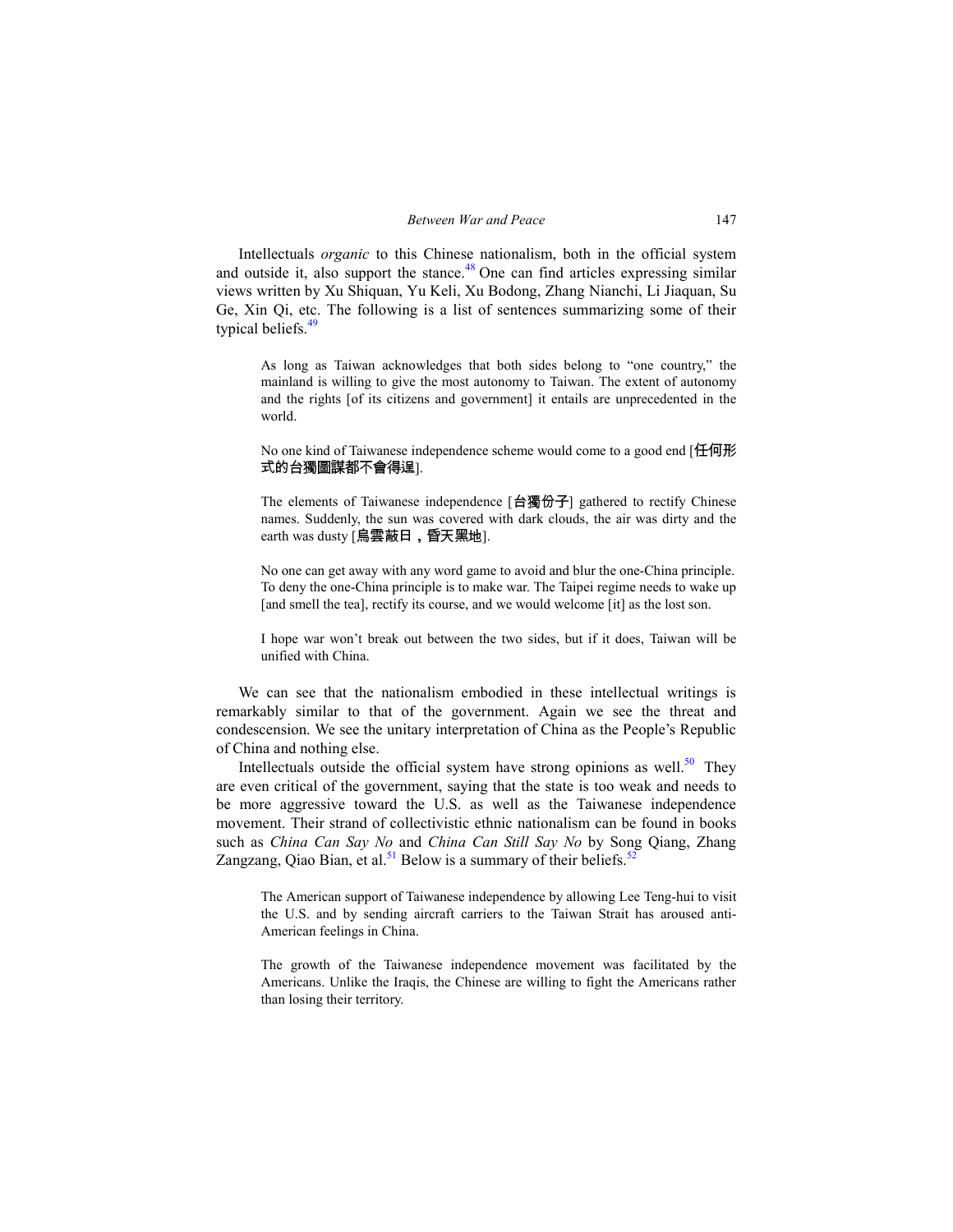Intellectuals *organic* to this Chinese nationalism, both in the official system and outside it, also support the stance.<sup>48</sup> One can find articles expressing similar views written by Xu Shiquan, Yu Keli, Xu Bodong, Zhang Nianchi, Li Jiaquan, Su Ge, Xin Qi, etc. The following is a list of sentences summarizing some of their typical beliefs.<sup>49</sup>

As long as Taiwan acknowledges that both sides belong to "one country," the mainland is willing to give the most autonomy to Taiwan. The extent of autonomy and the rights [of its citizens and government] it entails are unprecedented in the world.

No one kind of Taiwanese independence scheme would come to a good end [任何形] 式的台獨圖謀都不會得逞].

The elements of Taiwanese independence  $[$  台獨份子 $]$  gathered to rectify Chinese names. Suddenly, the sun was covered with dark clouds, the air was dirty and the earth was dusty [烏雲蔽日, 昏天黑地].

No one can get away with any word game to avoid and blur the one-China principle. To deny the one-China principle is to make war. The Taipei regime needs to wake up [and smell the tea], rectify its course, and we would welcome [it] as the lost son.

I hope war won't break out between the two sides, but if it does, Taiwan will be unified with China.

We can see that the nationalism embodied in these intellectual writings is remarkably similar to that of the government. Again we see the threat and condescension. We see the unitary interpretation of China as the People's Republic of China and nothing else.

Intellectuals outside the official system have strong opinions as well.<sup>50</sup> They are even critical of the government, saying that the state is too weak and needs to be more aggressive toward the U.S. as well as the Taiwanese independence movement. Their strand of collectivistic ethnic nationalism can be found in books such as *China Can Say No* and *China Can Still Say No* by Song Qiang, Zhang Zangzang, Qiao Bian, et al.<sup>51</sup> Below is a summary of their beliefs.<sup>52</sup>

The American support of Taiwanese independence by allowing Lee Teng-hui to visit the U.S. and by sending aircraft carriers to the Taiwan Strait has aroused anti-American feelings in China.

The growth of the Taiwanese independence movement was facilitated by the Americans. Unlike the Iraqis, the Chinese are willing to fight the Americans rather than losing their territory.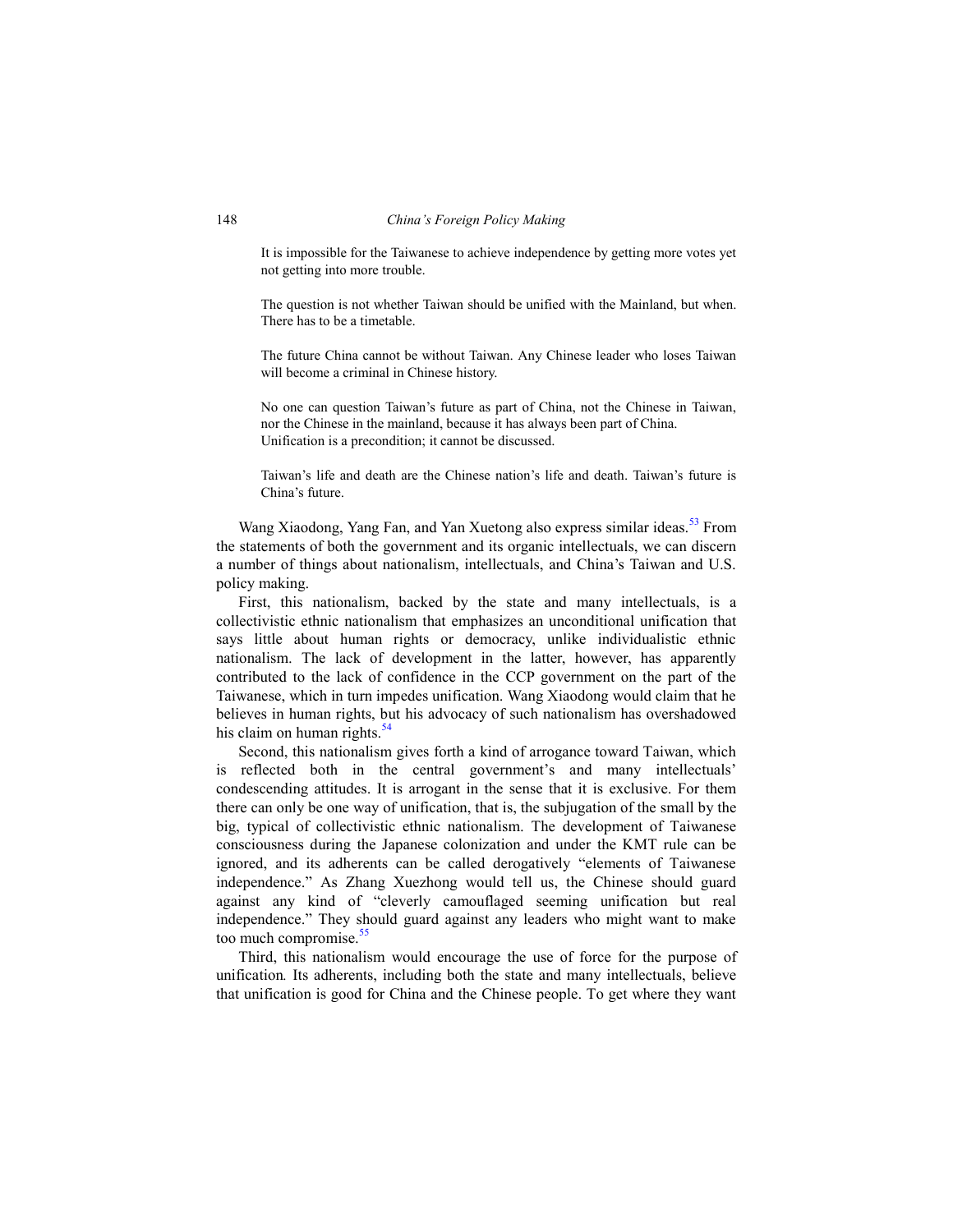It is impossible for the Taiwanese to achieve independence by getting more votes yet not getting into more trouble.

The question is not whether Taiwan should be unified with the Mainland, but when. There has to be a timetable.

The future China cannot be without Taiwan. Any Chinese leader who loses Taiwan will become a criminal in Chinese history.

No one can question Taiwan's future as part of China, not the Chinese in Taiwan, nor the Chinese in the mainland, because it has always been part of China. Unification is a precondition; it cannot be discussed.

Taiwan's life and death are the Chinese nation's life and death. Taiwan's future is China's future.

Wang Xiaodong, Yang Fan, and Yan Xuetong also express similar ideas.<sup>53</sup> From the statements of both the government and its organic intellectuals, we can discern a number of things about nationalism, intellectuals, and China's Taiwan and U.S. policy making.

First, this nationalism, backed by the state and many intellectuals, is a collectivistic ethnic nationalism that emphasizes an unconditional unification that says little about human rights or democracy, unlike individualistic ethnic nationalism. The lack of development in the latter, however, has apparently contributed to the lack of confidence in the CCP government on the part of the Taiwanese, which in turn impedes unification. Wang Xiaodong would claim that he believes in human rights, but his advocacy of such nationalism has overshadowed his claim on human rights. $54$ 

Second, this nationalism gives forth a kind of arrogance toward Taiwan, which is reflected both in the central government's and many intellectuals' condescending attitudes. It is arrogant in the sense that it is exclusive. For them there can only be one way of unification, that is, the subjugation of the small by the big, typical of collectivistic ethnic nationalism. The development of Taiwanese consciousness during the Japanese colonization and under the KMT rule can be ignored, and its adherents can be called derogatively "elements of Taiwanese independence." As Zhang Xuezhong would tell us, the Chinese should guard against any kind of "cleverly camouflaged seeming unification but real independence." They should guard against any leaders who might want to make too much compromise.<sup>55</sup>

Third, this nationalism would encourage the use of force for the purpose of unification*.* Its adherents, including both the state and many intellectuals, believe that unification is good for China and the Chinese people. To get where they want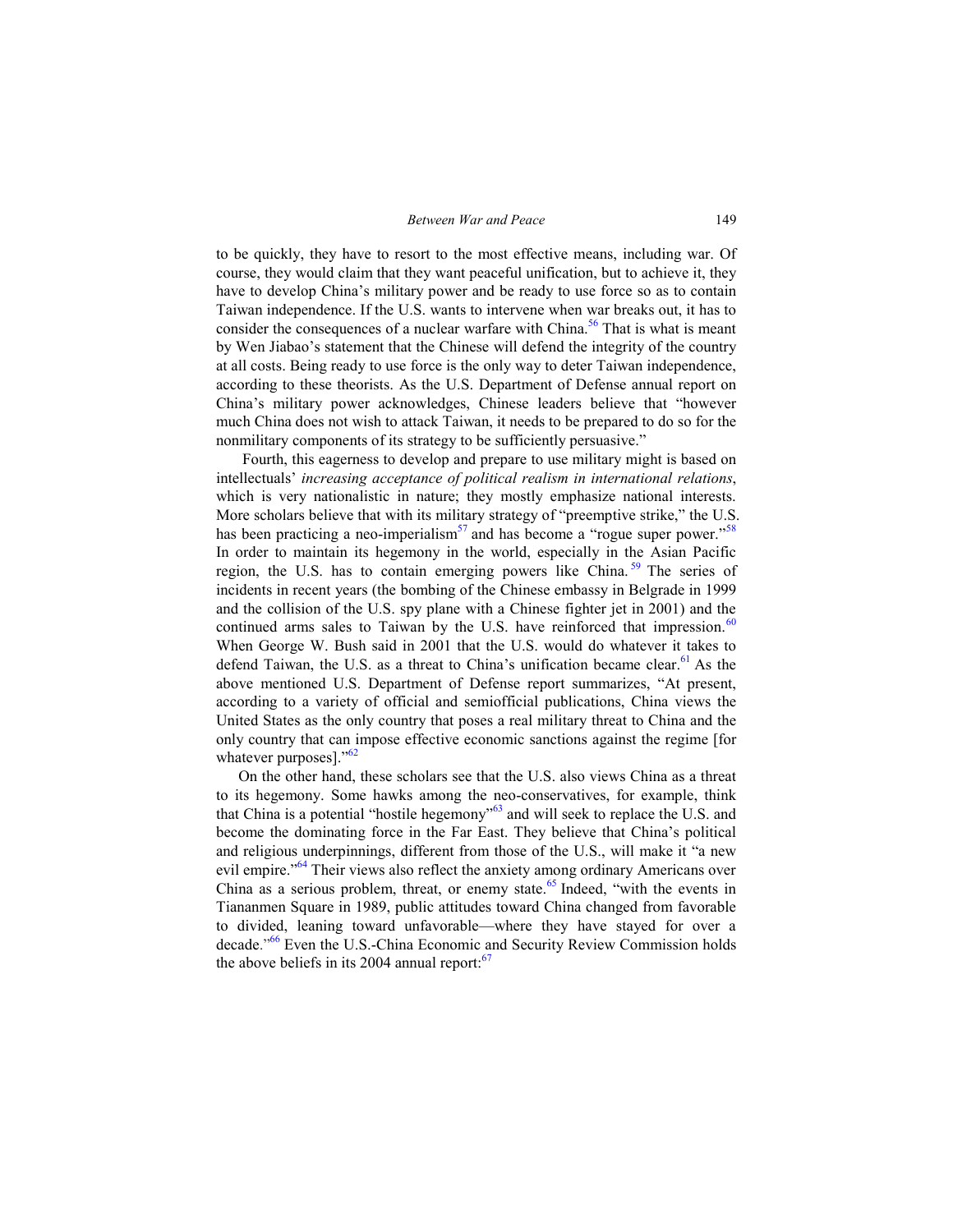to be quickly, they have to resort to the most effective means, including war. Of course, they would claim that they want peaceful unification, but to achieve it, they have to develop China's military power and be ready to use force so as to contain Taiwan independence. If the U.S. wants to intervene when war breaks out, it has to consider the consequences of a nuclear warfare with China.<sup>56</sup> That is what is meant by Wen Jiabao's statement that the Chinese will defend the integrity of the country at all costs. Being ready to use force is the only way to deter Taiwan independence, according to these theorists. As the U.S. Department of Defense annual report on China's military power acknowledges, Chinese leaders believe that "however much China does not wish to attack Taiwan, it needs to be prepared to do so for the nonmilitary components of its strategy to be sufficiently persuasive."

 Fourth, this eagerness to develop and prepare to use military might is based on intellectuals' *increasing acceptance of political realism in international relations*, which is very nationalistic in nature; they mostly emphasize national interests. More scholars believe that with its military strategy of "preemptive strike," the U.S. has been practicing a neo-imperialism<sup>57</sup> and has become a "rogue super power."<sup>58</sup> In order to maintain its hegemony in the world, especially in the Asian Pacific region, the U.S. has to contain emerging powers like China.<sup>59</sup> The series of incidents in recent years (the bombing of the Chinese embassy in Belgrade in 1999 and the collision of the U.S. spy plane with a Chinese fighter jet in 2001) and the continued arms sales to Taiwan by the U.S. have reinforced that impression.<sup>60</sup> When George W. Bush said in 2001 that the U.S. would do whatever it takes to defend Taiwan, the U.S. as a threat to China's unification became clear.  $61$  As the above mentioned U.S. Department of Defense report summarizes, "At present, according to a variety of official and semiofficial publications, China views the United States as the only country that poses a real military threat to China and the only country that can impose effective economic sanctions against the regime [for whatever purposes]."<sup>62</sup>

On the other hand, these scholars see that the U.S. also views China as a threat to its hegemony. Some hawks among the neo-conservatives, for example, think that China is a potential "hostile hegemony"<sup>63</sup> and will seek to replace the U.S. and become the dominating force in the Far East. They believe that China's political and religious underpinnings, different from those of the U.S., will make it "a new evil empire."<sup>64</sup> Their views also reflect the anxiety among ordinary Americans over China as a serious problem, threat, or enemy state.<sup>65</sup> Indeed, "with the events in Tiananmen Square in 1989, public attitudes toward China changed from favorable to divided, leaning toward unfavorable—where they have stayed for over a decade.<sup>566</sup> Even the U.S.-China Economic and Security Review Commission holds the above beliefs in its 2004 annual report: $67$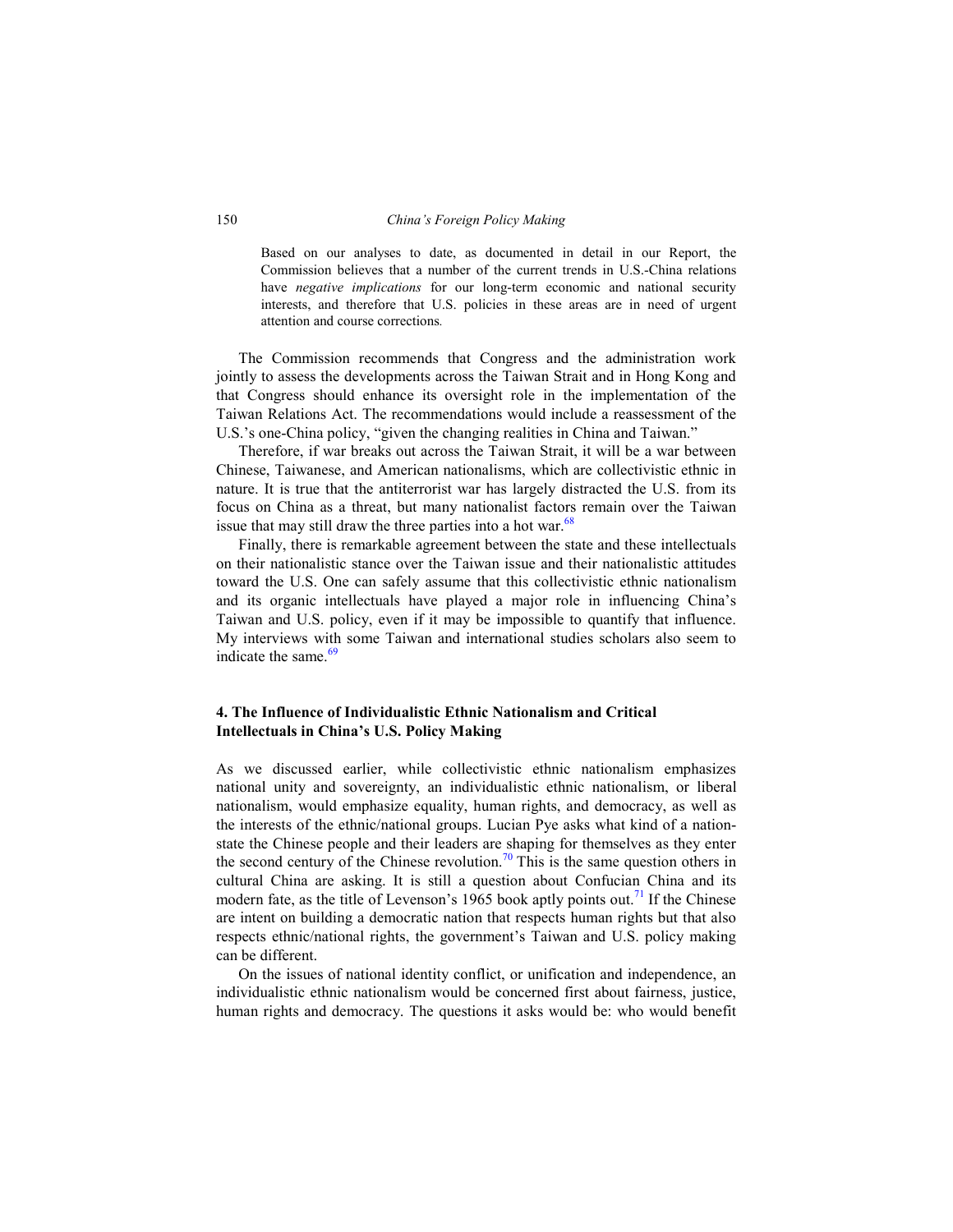Based on our analyses to date, as documented in detail in our Report, the Commission believes that a number of the current trends in U.S.-China relations have *negative implications* for our long-term economic and national security interests, and therefore that U.S. policies in these areas are in need of urgent attention and course corrections*.* 

The Commission recommends that Congress and the administration work jointly to assess the developments across the Taiwan Strait and in Hong Kong and that Congress should enhance its oversight role in the implementation of the Taiwan Relations Act. The recommendations would include a reassessment of the U.S.'s one-China policy, "given the changing realities in China and Taiwan."

Therefore, if war breaks out across the Taiwan Strait, it will be a war between Chinese, Taiwanese, and American nationalisms, which are collectivistic ethnic in nature. It is true that the antiterrorist war has largely distracted the U.S. from its focus on China as a threat, but many nationalist factors remain over the Taiwan issue that may still draw the three parties into a hot war. $68$ 

Finally, there is remarkable agreement between the state and these intellectuals on their nationalistic stance over the Taiwan issue and their nationalistic attitudes toward the U.S. One can safely assume that this collectivistic ethnic nationalism and its organic intellectuals have played a major role in influencing China's Taiwan and U.S. policy, even if it may be impossible to quantify that influence. My interviews with some Taiwan and international studies scholars also seem to indicate the same  $69$ 

# **4. The Influence of Individualistic Ethnic Nationalism and Critical Intellectuals in China's U.S. Policy Making**

As we discussed earlier, while collectivistic ethnic nationalism emphasizes national unity and sovereignty, an individualistic ethnic nationalism, or liberal nationalism, would emphasize equality, human rights, and democracy, as well as the interests of the ethnic/national groups. Lucian Pye asks what kind of a nationstate the Chinese people and their leaders are shaping for themselves as they enter the second century of the Chinese revolution.<sup>70</sup> This is the same question others in cultural China are asking. It is still a question about Confucian China and its modern fate, as the title of Levenson's 1965 book aptly points out.<sup>71</sup> If the Chinese are intent on building a democratic nation that respects human rights but that also respects ethnic/national rights, the government's Taiwan and U.S. policy making can be different.

On the issues of national identity conflict, or unification and independence, an individualistic ethnic nationalism would be concerned first about fairness, justice, human rights and democracy. The questions it asks would be: who would benefit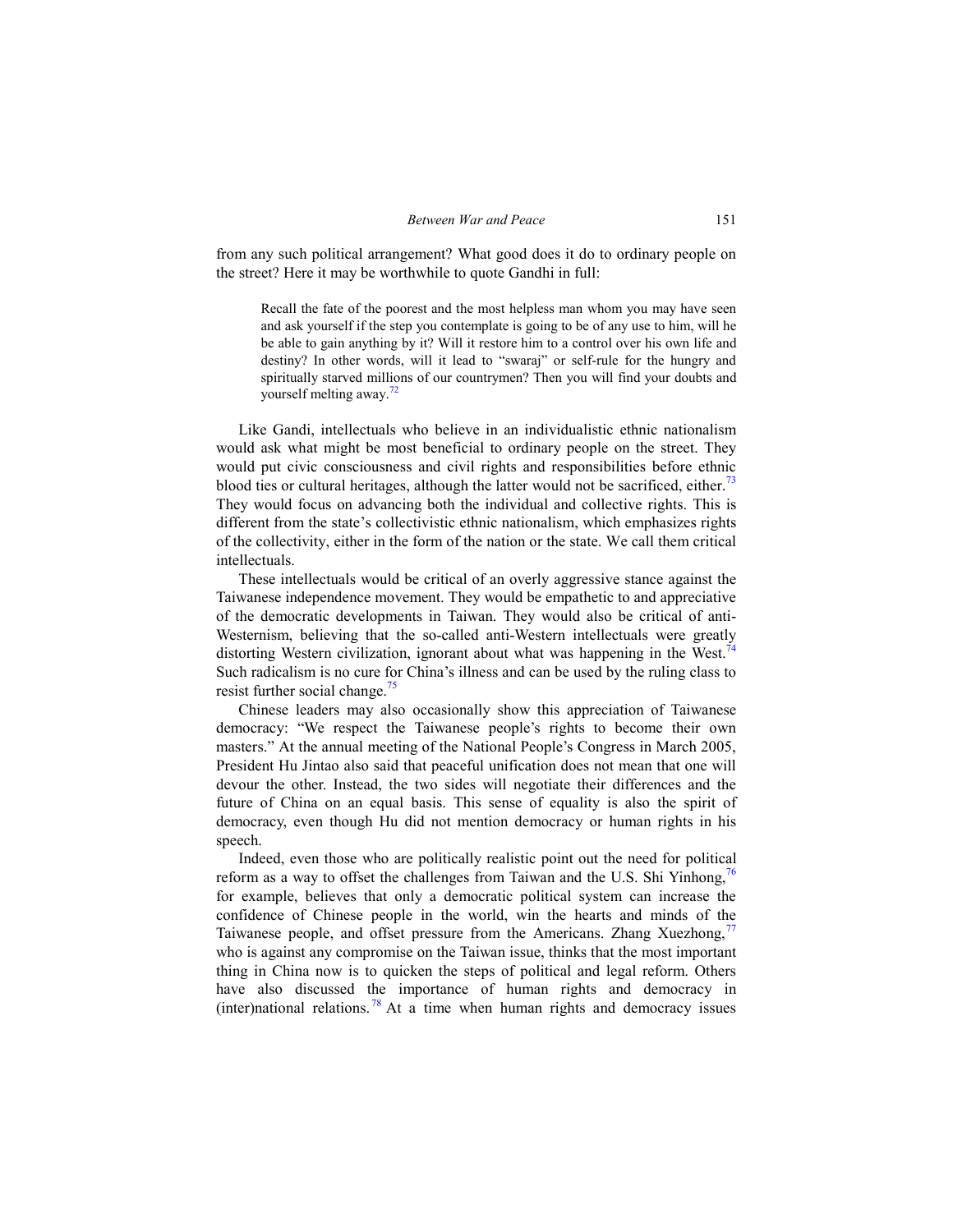from any such political arrangement? What good does it do to ordinary people on the street? Here it may be worthwhile to quote Gandhi in full:

Recall the fate of the poorest and the most helpless man whom you may have seen and ask yourself if the step you contemplate is going to be of any use to him, will he be able to gain anything by it? Will it restore him to a control over his own life and destiny? In other words, will it lead to "swaraj" or self-rule for the hungry and spiritually starved millions of our countrymen? Then you will find your doubts and yourself melting away.72

Like Gandi, intellectuals who believe in an individualistic ethnic nationalism would ask what might be most beneficial to ordinary people on the street. They would put civic consciousness and civil rights and responsibilities before ethnic blood ties or cultural heritages, although the latter would not be sacrificed, either.<sup>73</sup> They would focus on advancing both the individual and collective rights. This is different from the state's collectivistic ethnic nationalism, which emphasizes rights of the collectivity, either in the form of the nation or the state. We call them critical intellectuals.

These intellectuals would be critical of an overly aggressive stance against the Taiwanese independence movement. They would be empathetic to and appreciative of the democratic developments in Taiwan. They would also be critical of anti-Westernism, believing that the so-called anti-Western intellectuals were greatly distorting Western civilization, ignorant about what was happening in the West.<sup>74</sup> Such radicalism is no cure for China's illness and can be used by the ruling class to resist further social change.<sup>75</sup>

Chinese leaders may also occasionally show this appreciation of Taiwanese democracy: "We respect the Taiwanese people's rights to become their own masters." At the annual meeting of the National People's Congress in March 2005, President Hu Jintao also said that peaceful unification does not mean that one will devour the other. Instead, the two sides will negotiate their differences and the future of China on an equal basis. This sense of equality is also the spirit of democracy, even though Hu did not mention democracy or human rights in his speech.

Indeed, even those who are politically realistic point out the need for political reform as a way to offset the challenges from Taiwan and the U.S. Shi Yinhong,<sup>76</sup> for example, believes that only a democratic political system can increase the confidence of Chinese people in the world, win the hearts and minds of the Taiwanese people, and offset pressure from the Americans. Zhang Xuezhong, who is against any compromise on the Taiwan issue, thinks that the most important thing in China now is to quicken the steps of political and legal reform. Others have also discussed the importance of human rights and democracy in (inter)national relations.<sup>78</sup> At a time when human rights and democracy issues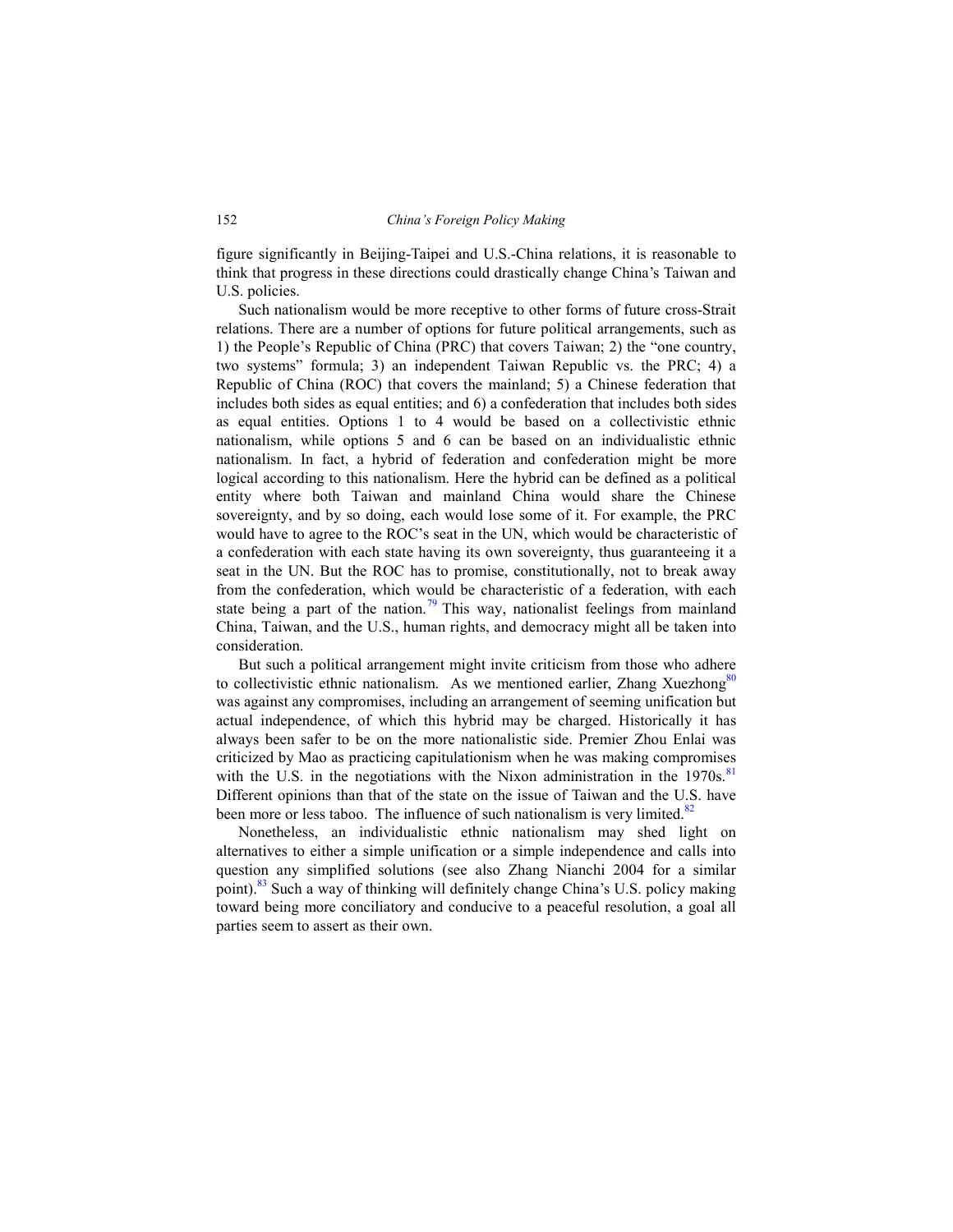figure significantly in Beijing-Taipei and U.S.-China relations, it is reasonable to think that progress in these directions could drastically change China's Taiwan and U.S. policies.

Such nationalism would be more receptive to other forms of future cross-Strait relations. There are a number of options for future political arrangements, such as 1) the People's Republic of China (PRC) that covers Taiwan; 2) the "one country, two systems" formula; 3) an independent Taiwan Republic vs. the PRC; 4) a Republic of China (ROC) that covers the mainland; 5) a Chinese federation that includes both sides as equal entities; and 6) a confederation that includes both sides as equal entities. Options 1 to 4 would be based on a collectivistic ethnic nationalism, while options 5 and 6 can be based on an individualistic ethnic nationalism. In fact, a hybrid of federation and confederation might be more logical according to this nationalism. Here the hybrid can be defined as a political entity where both Taiwan and mainland China would share the Chinese sovereignty, and by so doing, each would lose some of it. For example, the PRC would have to agree to the ROC's seat in the UN, which would be characteristic of a confederation with each state having its own sovereignty, thus guaranteeing it a seat in the UN. But the ROC has to promise, constitutionally, not to break away from the confederation, which would be characteristic of a federation, with each state being a part of the nation.<sup>79</sup> This way, nationalist feelings from mainland China, Taiwan, and the U.S., human rights, and democracy might all be taken into consideration.

But such a political arrangement might invite criticism from those who adhere to collectivistic ethnic nationalism. As we mentioned earlier, Zhang Xuezhong<sup>80</sup> was against any compromises, including an arrangement of seeming unification but actual independence, of which this hybrid may be charged. Historically it has always been safer to be on the more nationalistic side. Premier Zhou Enlai was criticized by Mao as practicing capitulationism when he was making compromises with the U.S. in the negotiations with the Nixon administration in the  $1970s$ .<sup>81</sup> Different opinions than that of the state on the issue of Taiwan and the U.S. have been more or less taboo. The influence of such nationalism is very limited.<sup>82</sup>

Nonetheless, an individualistic ethnic nationalism may shed light on alternatives to either a simple unification or a simple independence and calls into question any simplified solutions (see also Zhang Nianchi 2004 for a similar point).83 Such a way of thinking will definitely change China's U.S. policy making toward being more conciliatory and conducive to a peaceful resolution, a goal all parties seem to assert as their own.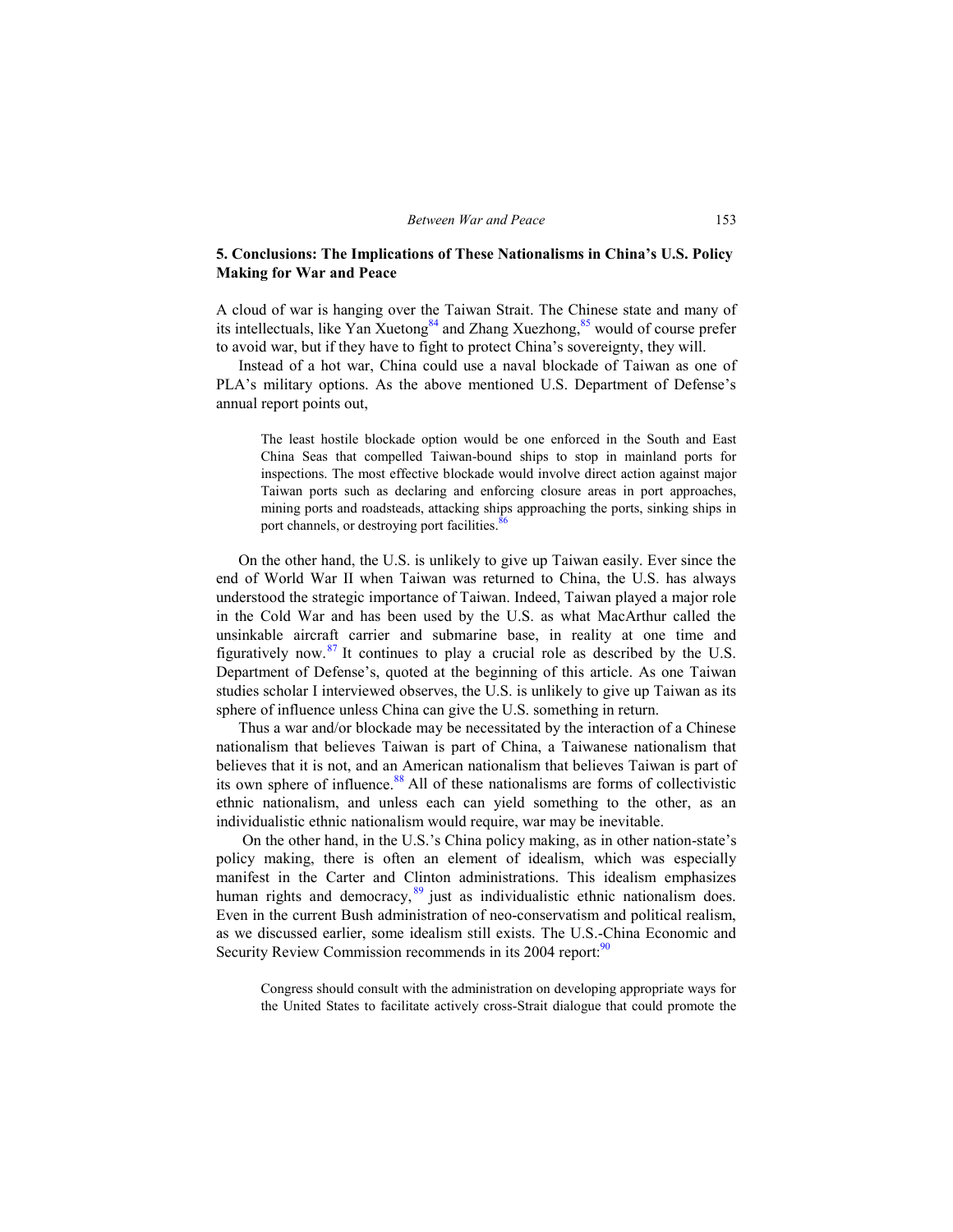# **5. Conclusions: The Implications of These Nationalisms in China's U.S. Policy Making for War and Peace**

A cloud of war is hanging over the Taiwan Strait. The Chinese state and many of its intellectuals, like Yan Xuetong $84$  and Zhang Xuezhong,  $85$  would of course prefer to avoid war, but if they have to fight to protect China's sovereignty, they will.

Instead of a hot war, China could use a naval blockade of Taiwan as one of PLA's military options. As the above mentioned U.S. Department of Defense's annual report points out,

The least hostile blockade option would be one enforced in the South and East China Seas that compelled Taiwan-bound ships to stop in mainland ports for inspections. The most effective blockade would involve direct action against major Taiwan ports such as declaring and enforcing closure areas in port approaches, mining ports and roadsteads, attacking ships approaching the ports, sinking ships in port channels, or destroying port facilities.<sup>86</sup>

On the other hand, the U.S. is unlikely to give up Taiwan easily. Ever since the end of World War II when Taiwan was returned to China, the U.S. has always understood the strategic importance of Taiwan. Indeed, Taiwan played a major role in the Cold War and has been used by the U.S. as what MacArthur called the unsinkable aircraft carrier and submarine base, in reality at one time and figuratively now.  $87$  It continues to play a crucial role as described by the U.S. Department of Defense's, quoted at the beginning of this article. As one Taiwan studies scholar I interviewed observes, the U.S. is unlikely to give up Taiwan as its sphere of influence unless China can give the U.S. something in return.

Thus a war and/or blockade may be necessitated by the interaction of a Chinese nationalism that believes Taiwan is part of China, a Taiwanese nationalism that believes that it is not, and an American nationalism that believes Taiwan is part of its own sphere of influence.<sup>88</sup> All of these nationalisms are forms of collectivistic ethnic nationalism, and unless each can yield something to the other, as an individualistic ethnic nationalism would require, war may be inevitable.

 On the other hand, in the U.S.'s China policy making, as in other nation-state's policy making, there is often an element of idealism, which was especially manifest in the Carter and Clinton administrations. This idealism emphasizes human rights and democracy,<sup>89</sup> just as individualistic ethnic nationalism does. Even in the current Bush administration of neo-conservatism and political realism, as we discussed earlier, some idealism still exists. The U.S.-China Economic and Security Review Commission recommends in its 2004 report:<sup>90</sup>

Congress should consult with the administration on developing appropriate ways for the United States to facilitate actively cross-Strait dialogue that could promote the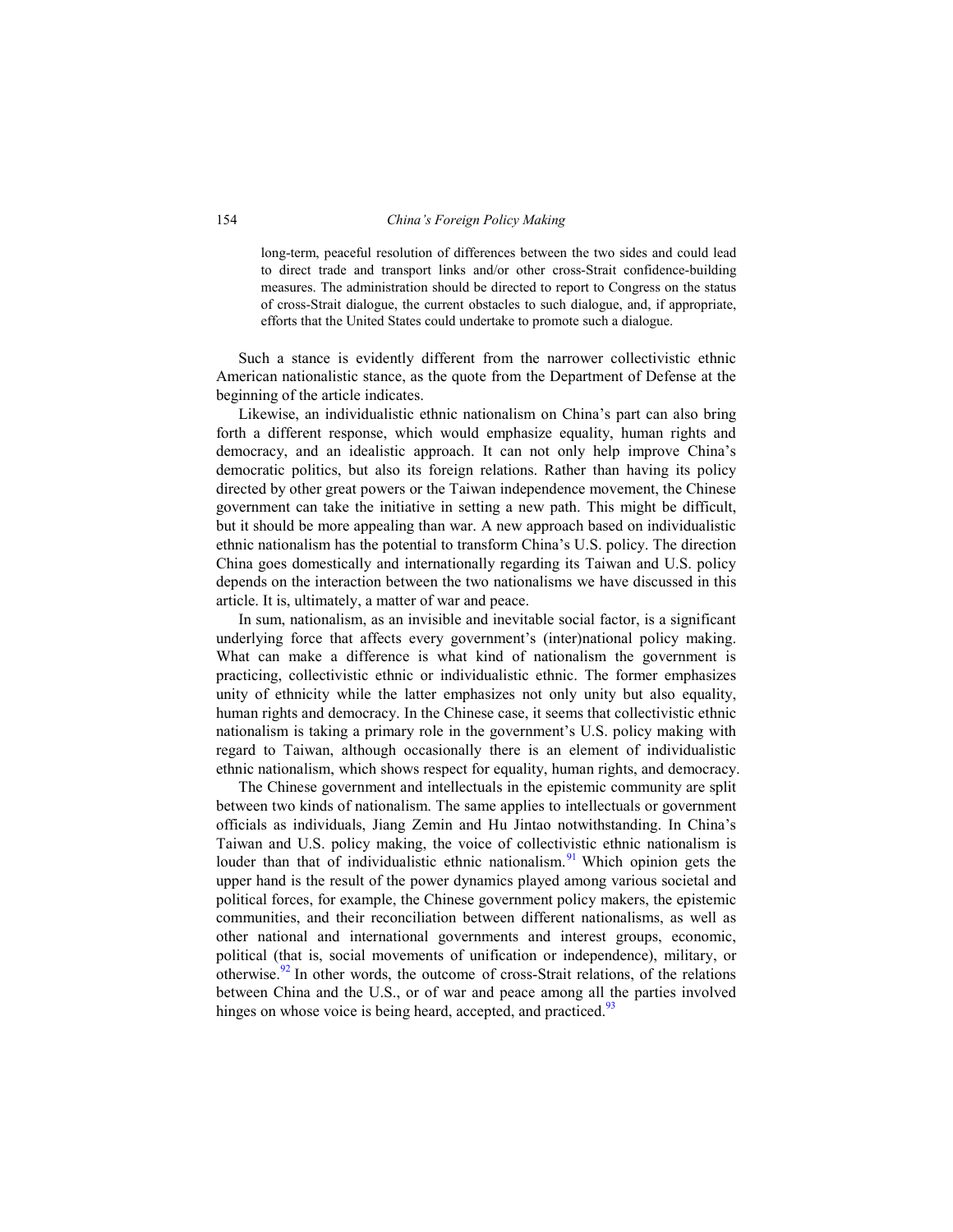long-term, peaceful resolution of differences between the two sides and could lead to direct trade and transport links and/or other cross-Strait confidence-building measures. The administration should be directed to report to Congress on the status of cross-Strait dialogue, the current obstacles to such dialogue, and, if appropriate, efforts that the United States could undertake to promote such a dialogue.

Such a stance is evidently different from the narrower collectivistic ethnic American nationalistic stance, as the quote from the Department of Defense at the beginning of the article indicates.

Likewise, an individualistic ethnic nationalism on China's part can also bring forth a different response, which would emphasize equality, human rights and democracy, and an idealistic approach. It can not only help improve China's democratic politics, but also its foreign relations. Rather than having its policy directed by other great powers or the Taiwan independence movement, the Chinese government can take the initiative in setting a new path. This might be difficult, but it should be more appealing than war. A new approach based on individualistic ethnic nationalism has the potential to transform China's U.S. policy. The direction China goes domestically and internationally regarding its Taiwan and U.S. policy depends on the interaction between the two nationalisms we have discussed in this article. It is, ultimately, a matter of war and peace.

In sum, nationalism, as an invisible and inevitable social factor, is a significant underlying force that affects every government's (inter)national policy making. What can make a difference is what kind of nationalism the government is practicing, collectivistic ethnic or individualistic ethnic. The former emphasizes unity of ethnicity while the latter emphasizes not only unity but also equality, human rights and democracy. In the Chinese case, it seems that collectivistic ethnic nationalism is taking a primary role in the government's U.S. policy making with regard to Taiwan, although occasionally there is an element of individualistic ethnic nationalism, which shows respect for equality, human rights, and democracy.

The Chinese government and intellectuals in the epistemic community are split between two kinds of nationalism. The same applies to intellectuals or government officials as individuals, Jiang Zemin and Hu Jintao notwithstanding. In China's Taiwan and U.S. policy making, the voice of collectivistic ethnic nationalism is louder than that of individualistic ethnic nationalism.<sup>91</sup> Which opinion gets the upper hand is the result of the power dynamics played among various societal and political forces, for example, the Chinese government policy makers, the epistemic communities, and their reconciliation between different nationalisms, as well as other national and international governments and interest groups, economic, political (that is, social movements of unification or independence), military, or otherwise.<sup>92</sup> In other words, the outcome of cross-Strait relations, of the relations between China and the U.S., or of war and peace among all the parties involved hinges on whose voice is being heard, accepted, and practiced. $93$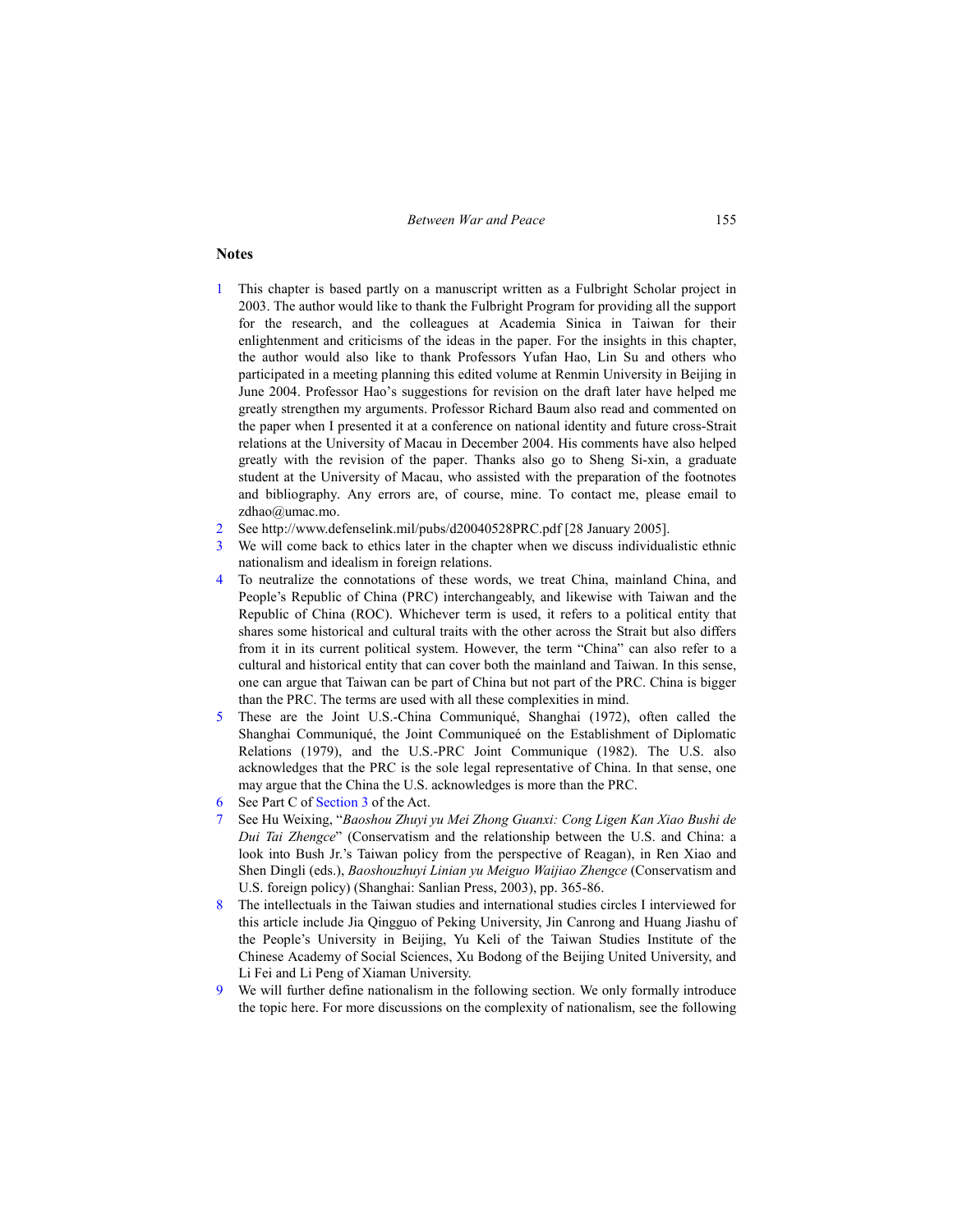### **Notes**

- 1 This chapter is based partly on a manuscript written as a Fulbright Scholar project in 2003. The author would like to thank the Fulbright Program for providing all the support for the research, and the colleagues at Academia Sinica in Taiwan for their enlightenment and criticisms of the ideas in the paper. For the insights in this chapter, the author would also like to thank Professors Yufan Hao, Lin Su and others who participated in a meeting planning this edited volume at Renmin University in Beijing in June 2004. Professor Hao's suggestions for revision on the draft later have helped me greatly strengthen my arguments. Professor Richard Baum also read and commented on the paper when I presented it at a conference on national identity and future cross-Strait relations at the University of Macau in December 2004. His comments have also helped greatly with the revision of the paper. Thanks also go to Sheng Si-xin, a graduate student at the University of Macau, who assisted with the preparation of the footnotes and bibliography. Any errors are, of course, mine. To contact me, please email to zdhao@umac.mo.
- 2 See http://www.defenselink.mil/pubs/d20040528PRC.pdf [28 January 2005].
- 3 We will come back to ethics later in the chapter when we discuss individualistic ethnic nationalism and idealism in foreign relations.
- 4 To neutralize the connotations of these words, we treat China, mainland China, and People's Republic of China (PRC) interchangeably, and likewise with Taiwan and the Republic of China (ROC). Whichever term is used, it refers to a political entity that shares some historical and cultural traits with the other across the Strait but also differs from it in its current political system. However, the term "China" can also refer to a cultural and historical entity that can cover both the mainland and Taiwan. In this sense, one can argue that Taiwan can be part of China but not part of the PRC. China is bigger than the PRC. The terms are used with all these complexities in mind.
- 5 These are the Joint U.S.-China Communiqué, Shanghai (1972), often called the Shanghai Communiqué, the Joint Communiqueé on the Establishment of Diplomatic Relations (1979), and the U.S.-PRC Joint Communique (1982). The U.S. also acknowledges that the PRC is the sole legal representative of China. In that sense, one may argue that the China the U.S. acknowledges is more than the PRC.
- 6 See Part C of Section 3 of the Act.
- 7 See Hu Weixing, "*Baoshou Zhuyi yu Mei Zhong Guanxi: Cong Ligen Kan Xiao Bushi de Dui Tai Zhengce*" (Conservatism and the relationship between the U.S. and China: a look into Bush Jr.'s Taiwan policy from the perspective of Reagan), in Ren Xiao and Shen Dingli (eds.), *Baoshouzhuyi Linian yu Meiguo Waijiao Zhengce* (Conservatism and U.S. foreign policy) (Shanghai: Sanlian Press, 2003), pp. 365-86.
- 8 The intellectuals in the Taiwan studies and international studies circles I interviewed for this article include Jia Qingguo of Peking University, Jin Canrong and Huang Jiashu of the People's University in Beijing, Yu Keli of the Taiwan Studies Institute of the Chinese Academy of Social Sciences, Xu Bodong of the Beijing United University, and Li Fei and Li Peng of Xiaman University.
- 9 We will further define nationalism in the following section. We only formally introduce the topic here. For more discussions on the complexity of nationalism, see the following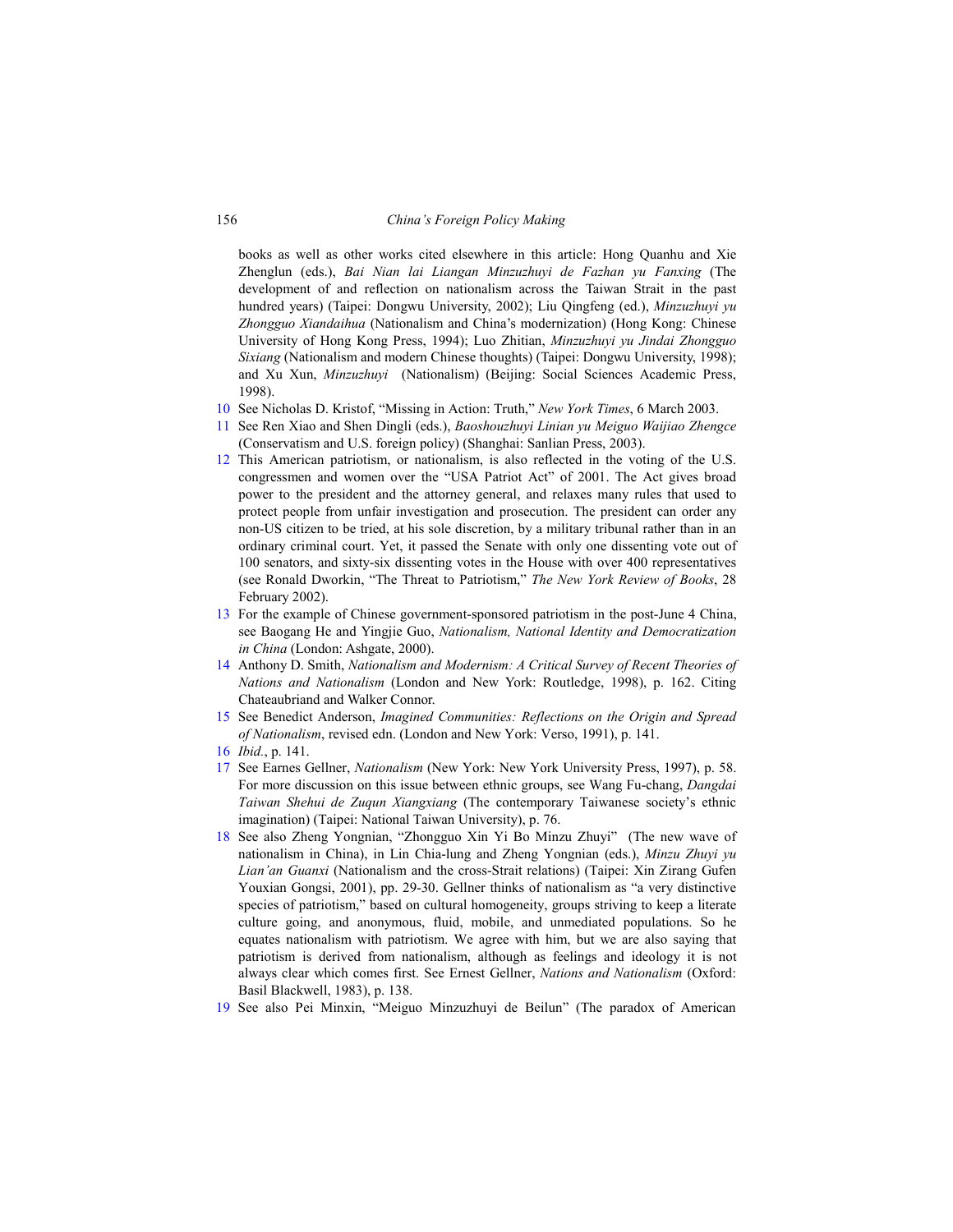books as well as other works cited elsewhere in this article: Hong Quanhu and Xie Zhenglun (eds.), *Bai Nian lai Liangan Minzuzhuyi de Fazhan yu Fanxing* (The development of and reflection on nationalism across the Taiwan Strait in the past hundred years) (Taipei: Dongwu University, 2002); Liu Qingfeng (ed.), *Minzuzhuyi yu Zhongguo Xiandaihua* (Nationalism and China's modernization) (Hong Kong: Chinese University of Hong Kong Press, 1994); Luo Zhitian, *Minzuzhuyi yu Jindai Zhongguo Sixiang* (Nationalism and modern Chinese thoughts) (Taipei: Dongwu University, 1998); and Xu Xun, *Minzuzhuyi* (Nationalism) (Beijing: Social Sciences Academic Press, 1998).

- 10 See Nicholas D. Kristof, "Missing in Action: Truth," *New York Times*, 6 March 2003.
- 11 See Ren Xiao and Shen Dingli (eds.), *Baoshouzhuyi Linian yu Meiguo Waijiao Zhengce* (Conservatism and U.S. foreign policy) (Shanghai: Sanlian Press, 2003).
- 12 This American patriotism, or nationalism, is also reflected in the voting of the U.S. congressmen and women over the "USA Patriot Act" of 2001. The Act gives broad power to the president and the attorney general, and relaxes many rules that used to protect people from unfair investigation and prosecution. The president can order any non-US citizen to be tried, at his sole discretion, by a military tribunal rather than in an ordinary criminal court. Yet, it passed the Senate with only one dissenting vote out of 100 senators, and sixty-six dissenting votes in the House with over 400 representatives (see Ronald Dworkin, "The Threat to Patriotism," *The New York Review of Books*, 28 February 2002).
- 13 For the example of Chinese government-sponsored patriotism in the post-June 4 China, see Baogang He and Yingjie Guo, *Nationalism, National Identity and Democratization in China* (London: Ashgate, 2000).
- 14 Anthony D. Smith, *Nationalism and Modernism: A Critical Survey of Recent Theories of Nations and Nationalism* (London and New York: Routledge, 1998), p. 162. Citing Chateaubriand and Walker Connor.
- 15 See Benedict Anderson, *Imagined Communities: Reflections on the Origin and Spread of Nationalism*, revised edn. (London and New York: Verso, 1991), p. 141.
- 16 *Ibid.*, p. 141.
- 17 See Earnes Gellner, *Nationalism* (New York: New York University Press, 1997), p. 58. For more discussion on this issue between ethnic groups, see Wang Fu-chang, *Dangdai Taiwan Shehui de Zuqun Xiangxiang* (The contemporary Taiwanese society's ethnic imagination) (Taipei: National Taiwan University), p. 76.
- 18 See also Zheng Yongnian, "Zhongguo Xin Yi Bo Minzu Zhuyi" (The new wave of nationalism in China), in Lin Chia-lung and Zheng Yongnian (eds.), *Minzu Zhuyi yu Lian'an Guanxi* (Nationalism and the cross-Strait relations) (Taipei: Xin Zirang Gufen Youxian Gongsi, 2001), pp. 29-30. Gellner thinks of nationalism as "a very distinctive species of patriotism," based on cultural homogeneity, groups striving to keep a literate culture going, and anonymous, fluid, mobile, and unmediated populations. So he equates nationalism with patriotism. We agree with him, but we are also saying that patriotism is derived from nationalism, although as feelings and ideology it is not always clear which comes first. See Ernest Gellner, *Nations and Nationalism* (Oxford: Basil Blackwell, 1983), p. 138.
- 19 See also Pei Minxin, "Meiguo Minzuzhuyi de Beilun" (The paradox of American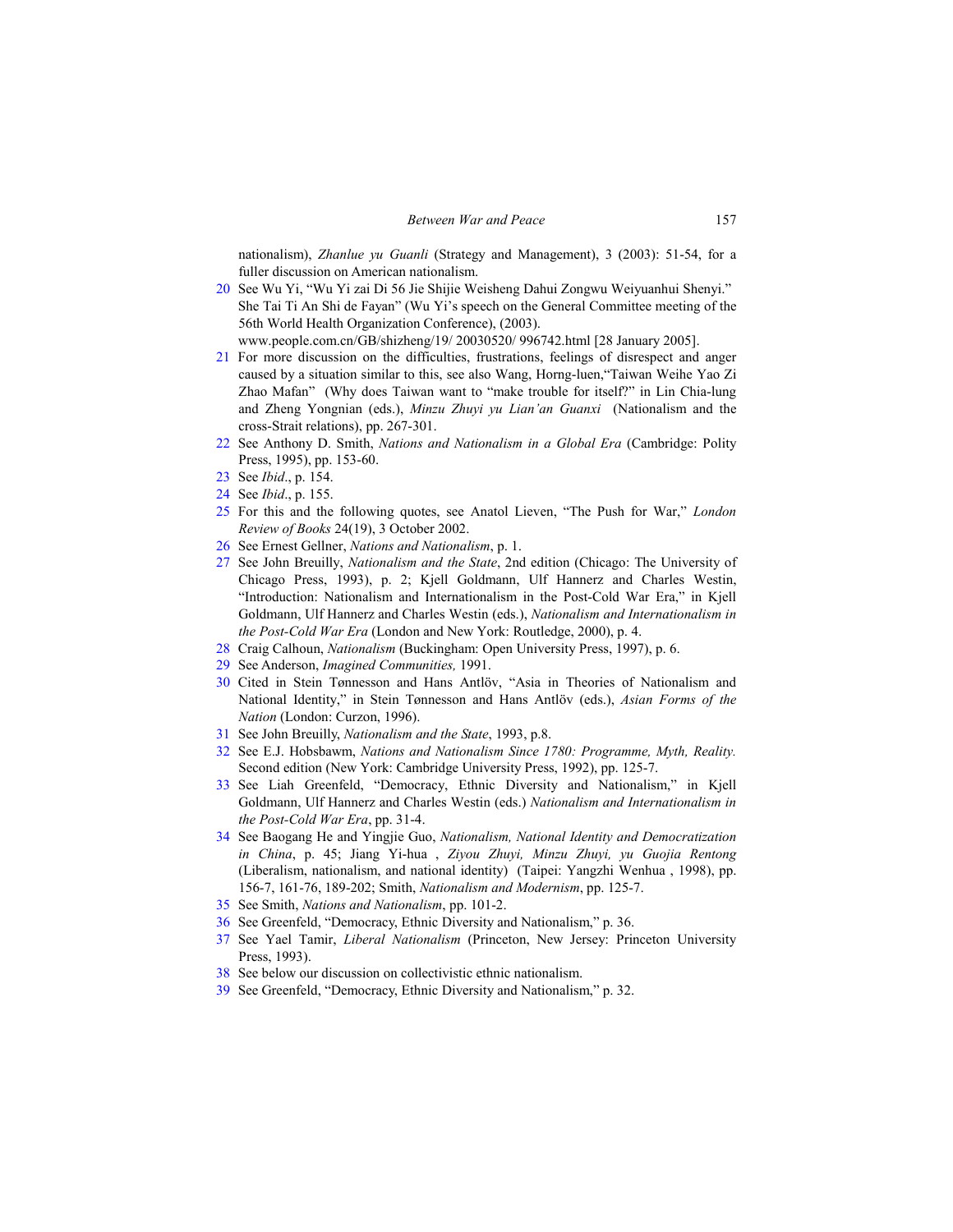nationalism), *Zhanlue yu Guanli* (Strategy and Management), 3 (2003): 51-54, for a fuller discussion on American nationalism.

- 20 See Wu Yi, "Wu Yi zai Di 56 Jie Shijie Weisheng Dahui Zongwu Weiyuanhui Shenyi." She Tai Ti An Shi de Fayan" (Wu Yi's speech on the General Committee meeting of the 56th World Health Organization Conference), (2003). www.people.com.cn/GB/shizheng/19/ 20030520/ 996742.html [28 January 2005].
- 21 For more discussion on the difficulties, frustrations, feelings of disrespect and anger caused by a situation similar to this, see also Wang, Horng-luen,"Taiwan Weihe Yao Zi Zhao Mafan" (Why does Taiwan want to "make trouble for itself?" in Lin Chia-lung and Zheng Yongnian (eds.), *Minzu Zhuyi yu Lian'an Guanxi* (Nationalism and the cross-Strait relations), pp. 267-301.
- 22 See Anthony D. Smith, *Nations and Nationalism in a Global Era* (Cambridge: Polity Press, 1995), pp. 153-60.
- 23 See *Ibid*., p. 154.
- 24 See *Ibid*., p. 155.
- 25 For this and the following quotes, see Anatol Lieven, "The Push for War," *London Review of Books* 24(19), 3 October 2002.
- 26 See Ernest Gellner, *Nations and Nationalism*, p. 1.
- 27 See John Breuilly, *Nationalism and the State*, 2nd edition (Chicago: The University of Chicago Press, 1993), p. 2; Kjell Goldmann, Ulf Hannerz and Charles Westin, "Introduction: Nationalism and Internationalism in the Post-Cold War Era," in Kjell Goldmann, Ulf Hannerz and Charles Westin (eds.), *Nationalism and Internationalism in the Post-Cold War Era* (London and New York: Routledge, 2000), p. 4.
- 28 Craig Calhoun, *Nationalism* (Buckingham: Open University Press, 1997), p. 6.
- 29 See Anderson, *Imagined Communities,* 1991.
- 30 Cited in Stein Tønnesson and Hans Antlöv, "Asia in Theories of Nationalism and National Identity," in Stein Tønnesson and Hans Antlöv (eds.), *Asian Forms of the Nation* (London: Curzon, 1996).
- 31 See John Breuilly, *Nationalism and the State*, 1993, p.8.
- 32 See E.J. Hobsbawm, *Nations and Nationalism Since 1780: Programme, Myth, Reality.* Second edition (New York: Cambridge University Press, 1992), pp. 125-7.
- 33 See Liah Greenfeld, "Democracy, Ethnic Diversity and Nationalism," in Kjell Goldmann, Ulf Hannerz and Charles Westin (eds.) *Nationalism and Internationalism in the Post-Cold War Era*, pp. 31-4.
- 34 See Baogang He and Yingjie Guo, *Nationalism, National Identity and Democratization in China*, p. 45; Jiang Yi-hua , *Ziyou Zhuyi, Minzu Zhuyi, yu Guojia Rentong*  (Liberalism, nationalism, and national identity) (Taipei: Yangzhi Wenhua , 1998), pp. 156-7, 161-76, 189-202; Smith, *Nationalism and Modernism*, pp. 125-7.
- 35 See Smith, *Nations and Nationalism*, pp. 101-2.
- 36 See Greenfeld, "Democracy, Ethnic Diversity and Nationalism," p. 36.
- 37 See Yael Tamir, *Liberal Nationalism* (Princeton, New Jersey: Princeton University Press, 1993).
- 38 See below our discussion on collectivistic ethnic nationalism.
- 39 See Greenfeld, "Democracy, Ethnic Diversity and Nationalism," p. 32.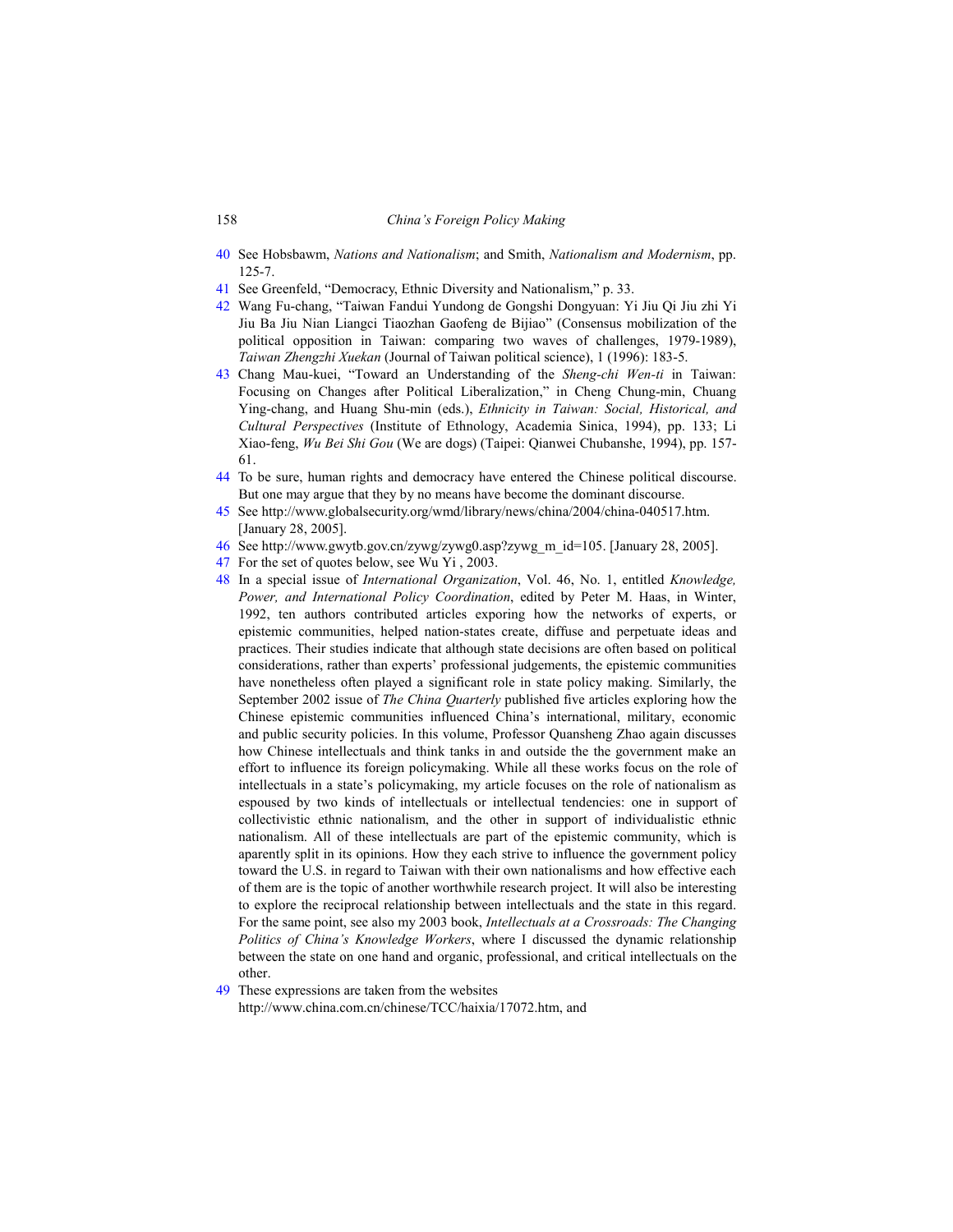- 40 See Hobsbawm, *Nations and Nationalism*; and Smith, *Nationalism and Modernism*, pp. 125-7.
- 41 See Greenfeld, "Democracy, Ethnic Diversity and Nationalism," p. 33.
- 42 Wang Fu-chang, "Taiwan Fandui Yundong de Gongshi Dongyuan: Yi Jiu Qi Jiu zhi Yi Jiu Ba Jiu Nian Liangci Tiaozhan Gaofeng de Bijiao" (Consensus mobilization of the political opposition in Taiwan: comparing two waves of challenges, 1979-1989), *Taiwan Zhengzhi Xuekan* (Journal of Taiwan political science), 1 (1996): 183-5.
- 43 Chang Mau-kuei, "Toward an Understanding of the *Sheng-chi Wen-ti* in Taiwan: Focusing on Changes after Political Liberalization," in Cheng Chung-min, Chuang Ying-chang, and Huang Shu-min (eds.), *Ethnicity in Taiwan: Social, Historical, and Cultural Perspectives* (Institute of Ethnology, Academia Sinica, 1994), pp. 133; Li Xiao-feng, *Wu Bei Shi Gou* (We are dogs) (Taipei: Qianwei Chubanshe, 1994), pp. 157- 61.
- 44 To be sure, human rights and democracy have entered the Chinese political discourse. But one may argue that they by no means have become the dominant discourse.
- 45 See http://www.globalsecurity.org/wmd/library/news/china/2004/china-040517.htm. [January 28, 2005].
- 46 See http://www.gwytb.gov.cn/zywg/zywg0.asp?zywg\_m\_id=105. [January 28, 2005].
- 47 For the set of quotes below, see Wu Yi , 2003.
- 48 In a special issue of *International Organization*, Vol. 46, No. 1, entitled *Knowledge, Power, and International Policy Coordination*, edited by Peter M. Haas, in Winter, 1992, ten authors contributed articles exporing how the networks of experts, or epistemic communities, helped nation-states create, diffuse and perpetuate ideas and practices. Their studies indicate that although state decisions are often based on political considerations, rather than experts' professional judgements, the epistemic communities have nonetheless often played a significant role in state policy making. Similarly, the September 2002 issue of *The China Quarterly* published five articles exploring how the Chinese epistemic communities influenced China's international, military, economic and public security policies. In this volume, Professor Quansheng Zhao again discusses how Chinese intellectuals and think tanks in and outside the the government make an effort to influence its foreign policymaking. While all these works focus on the role of intellectuals in a state's policymaking, my article focuses on the role of nationalism as espoused by two kinds of intellectuals or intellectual tendencies: one in support of collectivistic ethnic nationalism, and the other in support of individualistic ethnic nationalism. All of these intellectuals are part of the epistemic community, which is aparently split in its opinions. How they each strive to influence the government policy toward the U.S. in regard to Taiwan with their own nationalisms and how effective each of them are is the topic of another worthwhile research project. It will also be interesting to explore the reciprocal relationship between intellectuals and the state in this regard. For the same point, see also my 2003 book, *Intellectuals at a Crossroads: The Changing Politics of China's Knowledge Workers*, where I discussed the dynamic relationship between the state on one hand and organic, professional, and critical intellectuals on the other.

49 These expressions are taken from the websites http://www.china.com.cn/chinese/TCC/haixia/17072.htm, and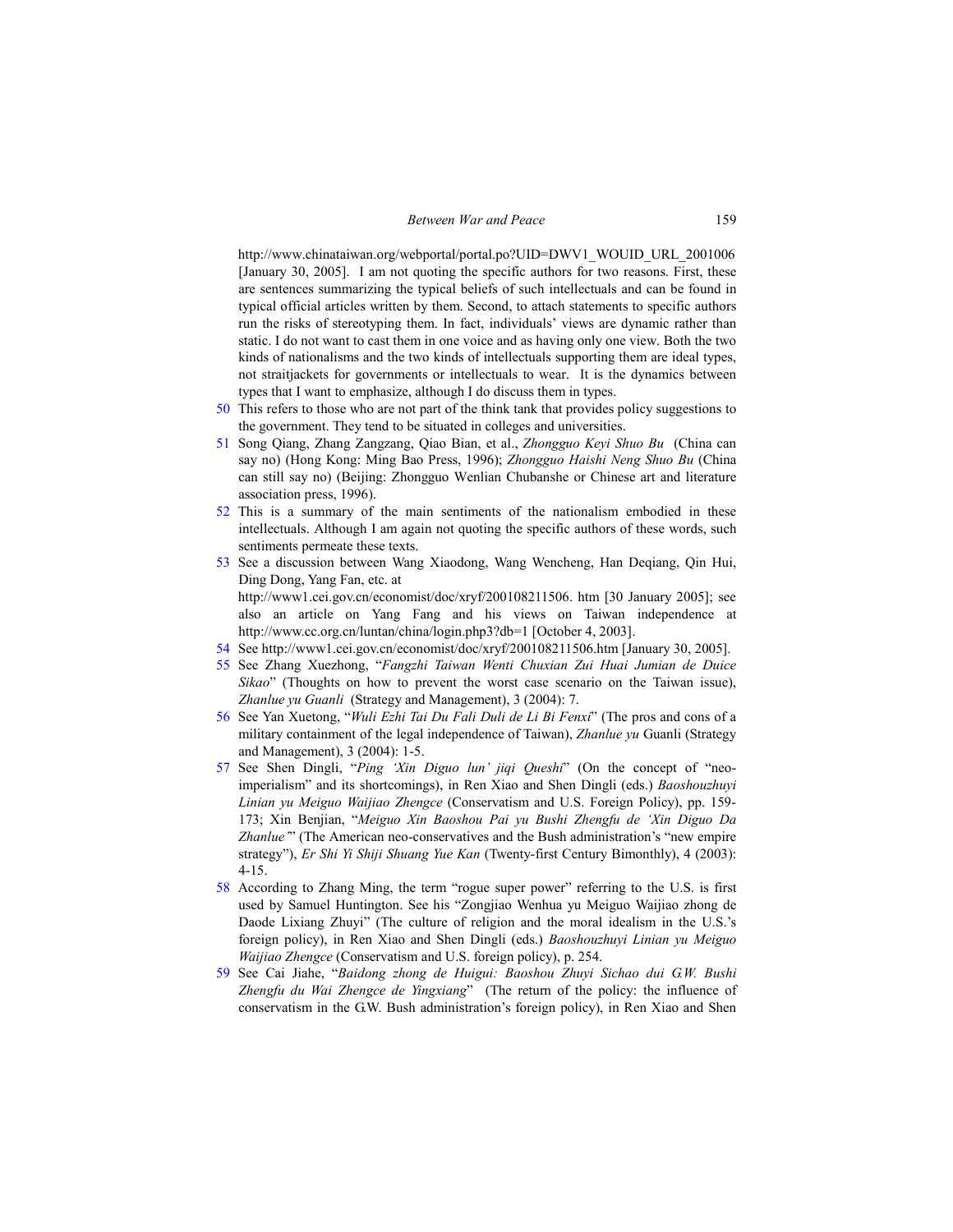http://www.chinataiwan.org/webportal/portal.po?UID=DWV1\_WOUID\_URL\_2001006 [January 30, 2005]. I am not quoting the specific authors for two reasons. First, these are sentences summarizing the typical beliefs of such intellectuals and can be found in typical official articles written by them. Second, to attach statements to specific authors run the risks of stereotyping them. In fact, individuals' views are dynamic rather than static. I do not want to cast them in one voice and as having only one view. Both the two kinds of nationalisms and the two kinds of intellectuals supporting them are ideal types, not straitjackets for governments or intellectuals to wear. It is the dynamics between types that I want to emphasize, although I do discuss them in types.

- 50 This refers to those who are not part of the think tank that provides policy suggestions to the government. They tend to be situated in colleges and universities.
- 51 Song Qiang, Zhang Zangzang, Qiao Bian, et al., *Zhongguo Keyi Shuo Bu* (China can say no) (Hong Kong: Ming Bao Press, 1996); *Zhongguo Haishi Neng Shuo Bu* (China can still say no) (Beijing: Zhongguo Wenlian Chubanshe or Chinese art and literature association press, 1996).
- 52 This is a summary of the main sentiments of the nationalism embodied in these intellectuals. Although I am again not quoting the specific authors of these words, such sentiments permeate these texts.
- 53 See a discussion between Wang Xiaodong, Wang Wencheng, Han Deqiang, Qin Hui, Ding Dong, Yang Fan, etc. at http://www1.cei.gov.cn/economist/doc/xryf/200108211506. htm [30 January 2005]; see also an article on Yang Fang and his views on Taiwan independence at http://www.cc.org.cn/luntan/china/login.php3?db=1 [October 4, 2003].
- 54 See http://www1.cei.gov.cn/economist/doc/xryf/200108211506.htm [January 30, 2005].
- 55 See Zhang Xuezhong, "*Fangzhi Taiwan Wenti Chuxian Zui Huai Jumian de Duice Sikao*" (Thoughts on how to prevent the worst case scenario on the Taiwan issue), *Zhanlue yu Guanli* (Strategy and Management), 3 (2004): 7.
- 56 See Yan Xuetong, "*Wuli Ezhi Tai Du Fali Duli de Li Bi Fenxi*" (The pros and cons of a military containment of the legal independence of Taiwan), *Zhanlue yu* Guanli (Strategy and Management), 3 (2004): 1-5.
- 57 See Shen Dingli, "*Ping 'Xin Diguo lun' jiqi Queshi*" (On the concept of "neoimperialism" and its shortcomings), in Ren Xiao and Shen Dingli (eds.) *Baoshouzhuyi Linian yu Meiguo Waijiao Zhengce* (Conservatism and U.S. Foreign Policy), pp. 159- 173; Xin Benjian, "*Meiguo Xin Baoshou Pai yu Bushi Zhengfu de 'Xin Diguo Da Zhanlue'*" (The American neo-conservatives and the Bush administration's "new empire strategy"), *Er Shi Yi Shiji Shuang Yue Kan* (Twenty-first Century Bimonthly), 4 (2003): 4-15.
- 58 According to Zhang Ming, the term "rogue super power" referring to the U.S. is first used by Samuel Huntington. See his "Zongjiao Wenhua yu Meiguo Waijiao zhong de Daode Lixiang Zhuyi" (The culture of religion and the moral idealism in the U.S.'s foreign policy), in Ren Xiao and Shen Dingli (eds.) *Baoshouzhuyi Linian yu Meiguo Waijiao Zhengce* (Conservatism and U.S. foreign policy), p. 254.
- 59 See Cai Jiahe, "*Baidong zhong de Huigui: Baoshou Zhuyi Sichao dui G.W. Bushi Zhengfu du Wai Zhengce de Yingxiang*" (The return of the policy: the influence of conservatism in the G.W. Bush administration's foreign policy), in Ren Xiao and Shen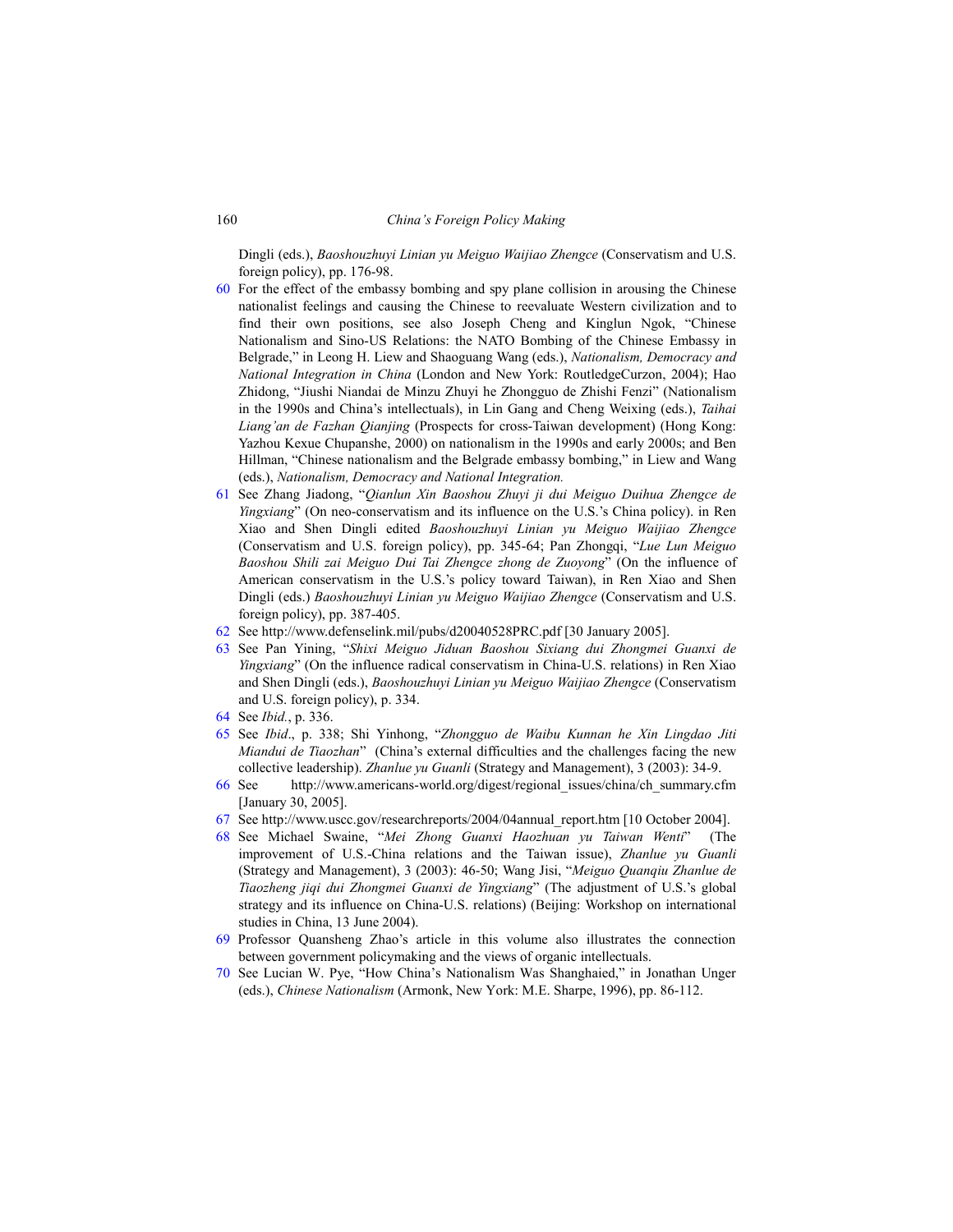Dingli (eds.), *Baoshouzhuyi Linian yu Meiguo Waijiao Zhengce* (Conservatism and U.S. foreign policy), pp. 176-98.

- 60 For the effect of the embassy bombing and spy plane collision in arousing the Chinese nationalist feelings and causing the Chinese to reevaluate Western civilization and to find their own positions, see also Joseph Cheng and Kinglun Ngok, "Chinese Nationalism and Sino-US Relations: the NATO Bombing of the Chinese Embassy in Belgrade," in Leong H. Liew and Shaoguang Wang (eds.), *Nationalism, Democracy and National Integration in China* (London and New York: RoutledgeCurzon, 2004); Hao Zhidong, "Jiushi Niandai de Minzu Zhuyi he Zhongguo de Zhishi Fenzi" (Nationalism in the 1990s and China's intellectuals), in Lin Gang and Cheng Weixing (eds.), *Taihai Liang'an de Fazhan Qianjing* (Prospects for cross-Taiwan development) (Hong Kong: Yazhou Kexue Chupanshe, 2000) on nationalism in the 1990s and early 2000s; and Ben Hillman, "Chinese nationalism and the Belgrade embassy bombing," in Liew and Wang (eds.), *Nationalism, Democracy and National Integration.*
- 61 See Zhang Jiadong, "*Qianlun Xin Baoshou Zhuyi ji dui Meiguo Duihua Zhengce de Yingxiang*" (On neo-conservatism and its influence on the U.S.'s China policy). in Ren Xiao and Shen Dingli edited *Baoshouzhuyi Linian yu Meiguo Waijiao Zhengce*  (Conservatism and U.S. foreign policy), pp. 345-64; Pan Zhongqi, "*Lue Lun Meiguo Baoshou Shili zai Meiguo Dui Tai Zhengce zhong de Zuoyong*" (On the influence of American conservatism in the U.S.'s policy toward Taiwan), in Ren Xiao and Shen Dingli (eds.) *Baoshouzhuyi Linian yu Meiguo Waijiao Zhengce* (Conservatism and U.S. foreign policy), pp. 387-405.
- 62 See http://www.defenselink.mil/pubs/d20040528PRC.pdf [30 January 2005].
- 63 See Pan Yining, "*Shixi Meiguo Jiduan Baoshou Sixiang dui Zhongmei Guanxi de Yingxiang*" (On the influence radical conservatism in China-U.S. relations) in Ren Xiao and Shen Dingli (eds.), *Baoshouzhuyi Linian yu Meiguo Waijiao Zhengce* (Conservatism and U.S. foreign policy), p. 334.
- 64 See *Ibid.*, p. 336.
- 65 See *Ibid*., p. 338; Shi Yinhong, "*Zhongguo de Waibu Kunnan he Xin Lingdao Jiti Miandui de Tiaozhan*" (China's external difficulties and the challenges facing the new collective leadership). *Zhanlue yu Guanli* (Strategy and Management), 3 (2003): 34-9.
- 66 See http://www.americans-world.org/digest/regional\_issues/china/ch\_summary.cfm [January 30, 2005].
- 67 See http://www.uscc.gov/researchreports/2004/04annual\_report.htm [10 October 2004].
- 68 See Michael Swaine, "*Mei Zhong Guanxi Haozhuan yu Taiwan Wenti*" (The improvement of U.S.-China relations and the Taiwan issue), *Zhanlue yu Guanli*  (Strategy and Management), 3 (2003): 46-50; Wang Jisi, "*Meiguo Quanqiu Zhanlue de Tiaozheng jiqi dui Zhongmei Guanxi de Yingxiang*" (The adjustment of U.S.'s global strategy and its influence on China-U.S. relations) (Beijing: Workshop on international studies in China, 13 June 2004).
- 69 Professor Quansheng Zhao's article in this volume also illustrates the connection between government policymaking and the views of organic intellectuals.
- 70 See Lucian W. Pye, "How China's Nationalism Was Shanghaied," in Jonathan Unger (eds.), *Chinese Nationalism* (Armonk, New York: M.E. Sharpe, 1996), pp. 86-112.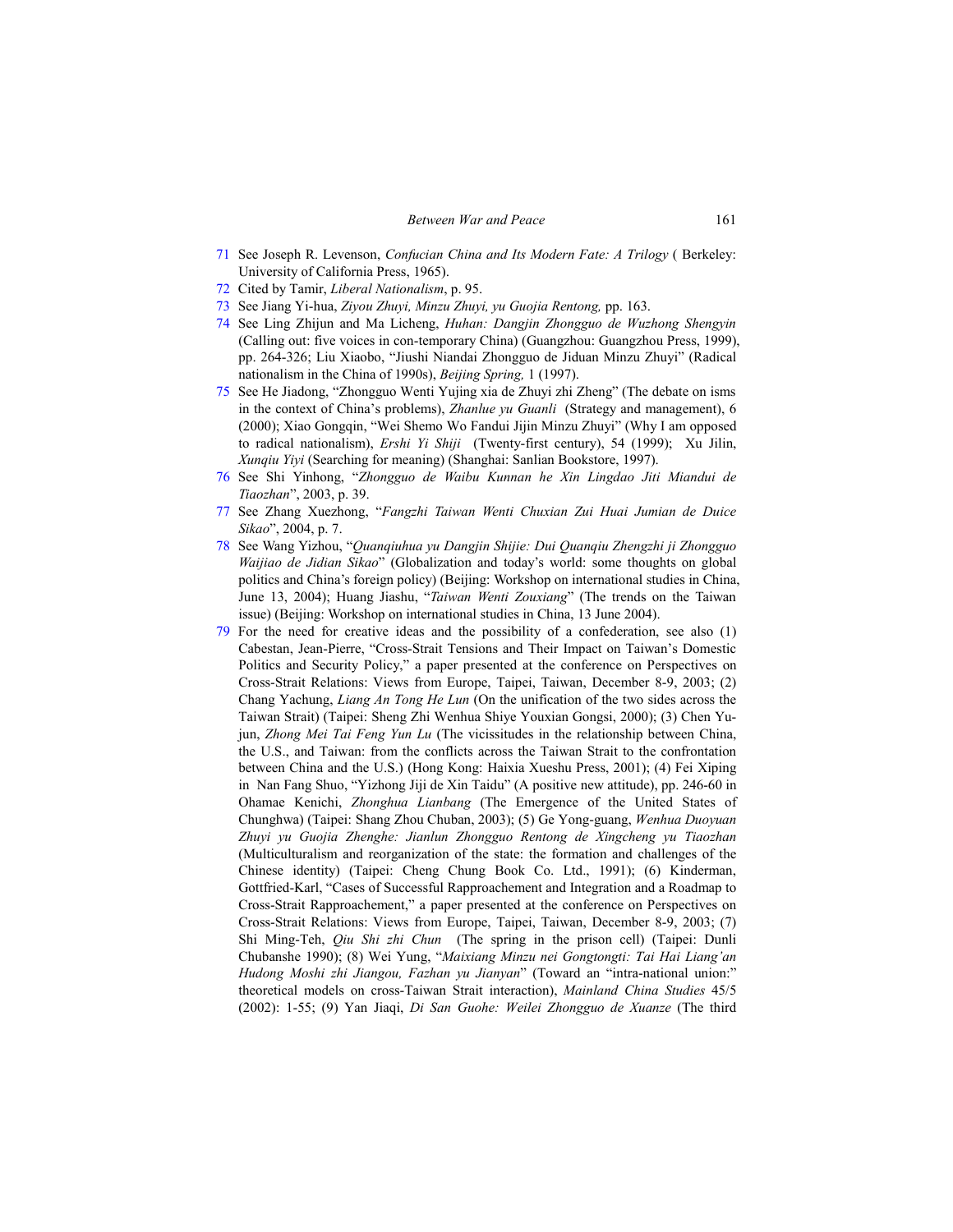- 71 See Joseph R. Levenson, *Confucian China and Its Modern Fate: A Trilogy* ( Berkeley: University of California Press, 1965).
- 72 Cited by Tamir, *Liberal Nationalism*, p. 95.
- 73 See Jiang Yi-hua, *Ziyou Zhuyi, Minzu Zhuyi, yu Guojia Rentong,* pp. 163.
- 74 See Ling Zhijun and Ma Licheng, *Huhan: Dangjin Zhongguo de Wuzhong Shengyin*  (Calling out: five voices in con-temporary China) (Guangzhou: Guangzhou Press, 1999), pp. 264-326; Liu Xiaobo, "Jiushi Niandai Zhongguo de Jiduan Minzu Zhuyi" (Radical nationalism in the China of 1990s), *Beijing Spring,* 1 (1997).
- 75 See He Jiadong, "Zhongguo Wenti Yujing xia de Zhuyi zhi Zheng" (The debate on isms in the context of China's problems), *Zhanlue yu Guanli* (Strategy and management), 6 (2000); Xiao Gongqin, "Wei Shemo Wo Fandui Jijin Minzu Zhuyi" (Why I am opposed to radical nationalism), *Ershi Yi Shiji* (Twenty-first century), 54 (1999); Xu Jilin, *Xunqiu Yiyi* (Searching for meaning) (Shanghai: Sanlian Bookstore, 1997).
- 76 See Shi Yinhong, "*Zhongguo de Waibu Kunnan he Xin Lingdao Jiti Miandui de Tiaozhan*", 2003, p. 39.
- 77 See Zhang Xuezhong, "*Fangzhi Taiwan Wenti Chuxian Zui Huai Jumian de Duice Sikao*", 2004, p. 7.
- 78 See Wang Yizhou, "*Quanqiuhua yu Dangjin Shijie: Dui Quanqiu Zhengzhi ji Zhongguo Waijiao de Jidian Sikao*" (Globalization and today's world: some thoughts on global politics and China's foreign policy) (Beijing: Workshop on international studies in China, June 13, 2004); Huang Jiashu, "*Taiwan Wenti Zouxiang*" (The trends on the Taiwan issue) (Beijing: Workshop on international studies in China, 13 June 2004).
- 79 For the need for creative ideas and the possibility of a confederation, see also  $(1)$ Cabestan, Jean-Pierre, "Cross-Strait Tensions and Their Impact on Taiwan's Domestic Politics and Security Policy," a paper presented at the conference on Perspectives on Cross-Strait Relations: Views from Europe, Taipei, Taiwan, December 8-9, 2003; (2) Chang Yachung, *Liang An Tong He Lun* (On the unification of the two sides across the Taiwan Strait) (Taipei: Sheng Zhi Wenhua Shiye Youxian Gongsi, 2000); (3) Chen Yujun, *Zhong Mei Tai Feng Yun Lu* (The vicissitudes in the relationship between China, the U.S., and Taiwan: from the conflicts across the Taiwan Strait to the confrontation between China and the U.S.) (Hong Kong: Haixia Xueshu Press, 2001); (4) Fei Xiping in Nan Fang Shuo, "Yizhong Jiji de Xin Taidu" (A positive new attitude), pp. 246-60 in Ohamae Kenichi, *Zhonghua Lianbang* (The Emergence of the United States of Chunghwa) (Taipei: Shang Zhou Chuban, 2003); (5) Ge Yong-guang, *Wenhua Duoyuan Zhuyi yu Guojia Zhenghe: Jianlun Zhongguo Rentong de Xingcheng yu Tiaozhan* (Multiculturalism and reorganization of the state: the formation and challenges of the Chinese identity) (Taipei: Cheng Chung Book Co. Ltd., 1991); (6) Kinderman, Gottfried-Karl, "Cases of Successful Rapproachement and Integration and a Roadmap to Cross-Strait Rapproachement," a paper presented at the conference on Perspectives on Cross-Strait Relations: Views from Europe, Taipei, Taiwan, December 8-9, 2003; (7) Shi Ming-Teh, *Qiu Shi zhi Chun* (The spring in the prison cell) (Taipei: Dunli Chubanshe 1990); (8) Wei Yung, "*Maixiang Minzu nei Gongtongti: Tai Hai Liang'an Hudong Moshi zhi Jiangou, Fazhan yu Jianyan*" (Toward an "intra-national union:" theoretical models on cross-Taiwan Strait interaction), *Mainland China Studies* 45/5 (2002): 1-55; (9) Yan Jiaqi, *Di San Guohe: Weilei Zhongguo de Xuanze* (The third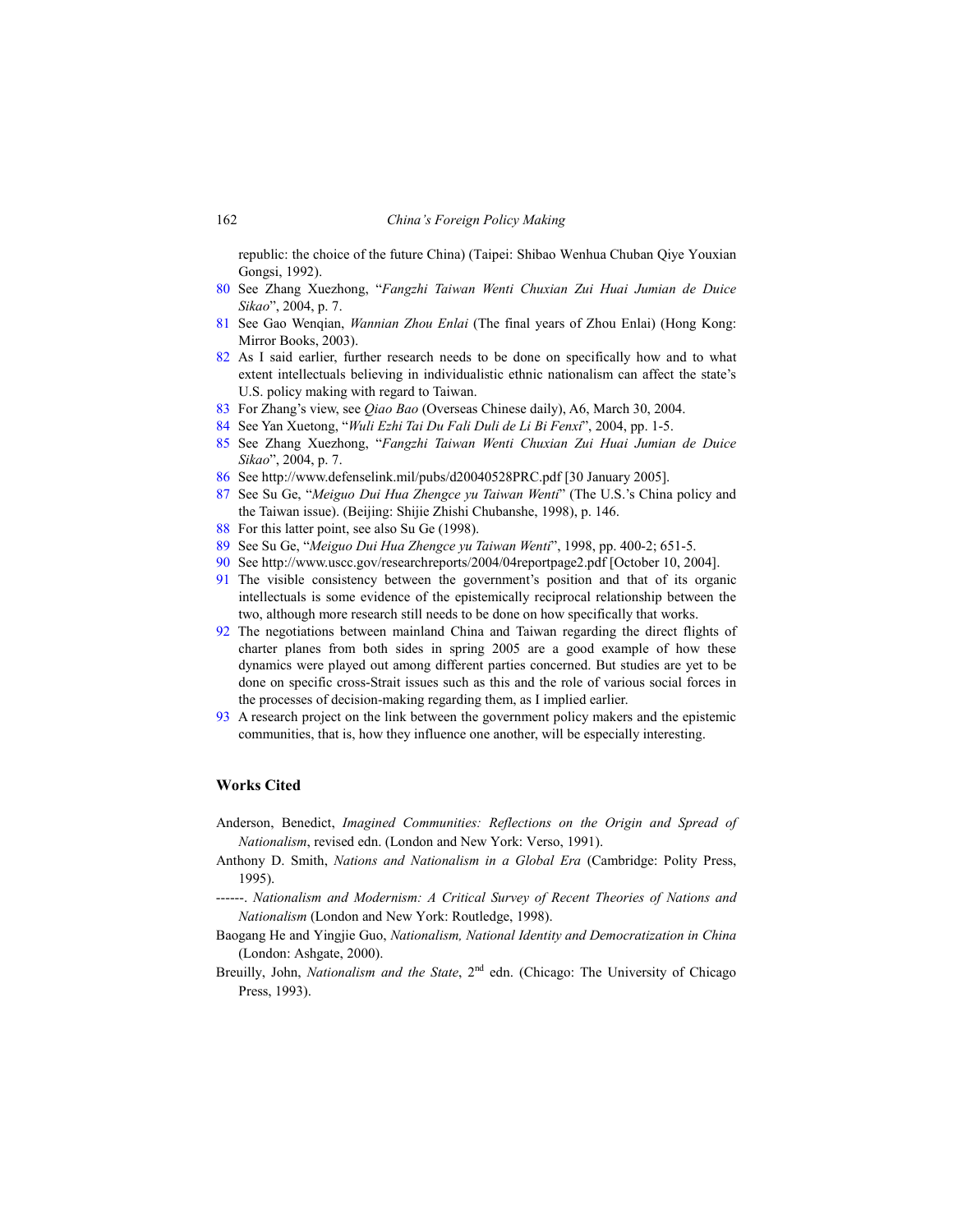republic: the choice of the future China) (Taipei: Shibao Wenhua Chuban Qiye Youxian Gongsi, 1992).

- 80 See Zhang Xuezhong, "*Fangzhi Taiwan Wenti Chuxian Zui Huai Jumian de Duice Sikao*", 2004, p. 7.
- 81 See Gao Wenqian, *Wannian Zhou Enlai* (The final years of Zhou Enlai) (Hong Kong: Mirror Books, 2003).
- 82 As I said earlier, further research needs to be done on specifically how and to what extent intellectuals believing in individualistic ethnic nationalism can affect the state's U.S. policy making with regard to Taiwan.
- 83 For Zhang's view, see *Qiao Bao* (Overseas Chinese daily), A6, March 30, 2004.
- 84 See Yan Xuetong, "*Wuli Ezhi Tai Du Fali Duli de Li Bi Fenxi*", 2004, pp. 1-5.
- 85 See Zhang Xuezhong, "*Fangzhi Taiwan Wenti Chuxian Zui Huai Jumian de Duice Sikao*", 2004, p. 7.
- 86 See http://www.defenselink.mil/pubs/d20040528PRC.pdf [30 January 2005].
- 87 See Su Ge, "*Meiguo Dui Hua Zhengce yu Taiwan Wenti*" (The U.S.'s China policy and the Taiwan issue). (Beijing: Shijie Zhishi Chubanshe, 1998), p. 146.
- 88 For this latter point, see also Su Ge (1998).
- 89 See Su Ge, "*Meiguo Dui Hua Zhengce yu Taiwan Wenti*", 1998, pp. 400-2; 651-5.
- 90 See http://www.uscc.gov/researchreports/2004/04reportpage2.pdf [October 10, 2004].
- 91 The visible consistency between the government's position and that of its organic intellectuals is some evidence of the epistemically reciprocal relationship between the two, although more research still needs to be done on how specifically that works.
- 92 The negotiations between mainland China and Taiwan regarding the direct flights of charter planes from both sides in spring 2005 are a good example of how these dynamics were played out among different parties concerned. But studies are yet to be done on specific cross-Strait issues such as this and the role of various social forces in the processes of decision-making regarding them, as I implied earlier.
- 93 A research project on the link between the government policy makers and the epistemic communities, that is, how they influence one another, will be especially interesting.

#### **Works Cited**

- Anderson, Benedict, *Imagined Communities: Reflections on the Origin and Spread of Nationalism*, revised edn. (London and New York: Verso, 1991).
- Anthony D. Smith, *Nations and Nationalism in a Global Era* (Cambridge: Polity Press, 1995).
- ------. *Nationalism and Modernism: A Critical Survey of Recent Theories of Nations and Nationalism* (London and New York: Routledge, 1998).
- Baogang He and Yingjie Guo, *Nationalism, National Identity and Democratization in China*  (London: Ashgate, 2000).
- Breuilly, John, *Nationalism and the State*, 2<sup>nd</sup> edn. (Chicago: The University of Chicago Press, 1993).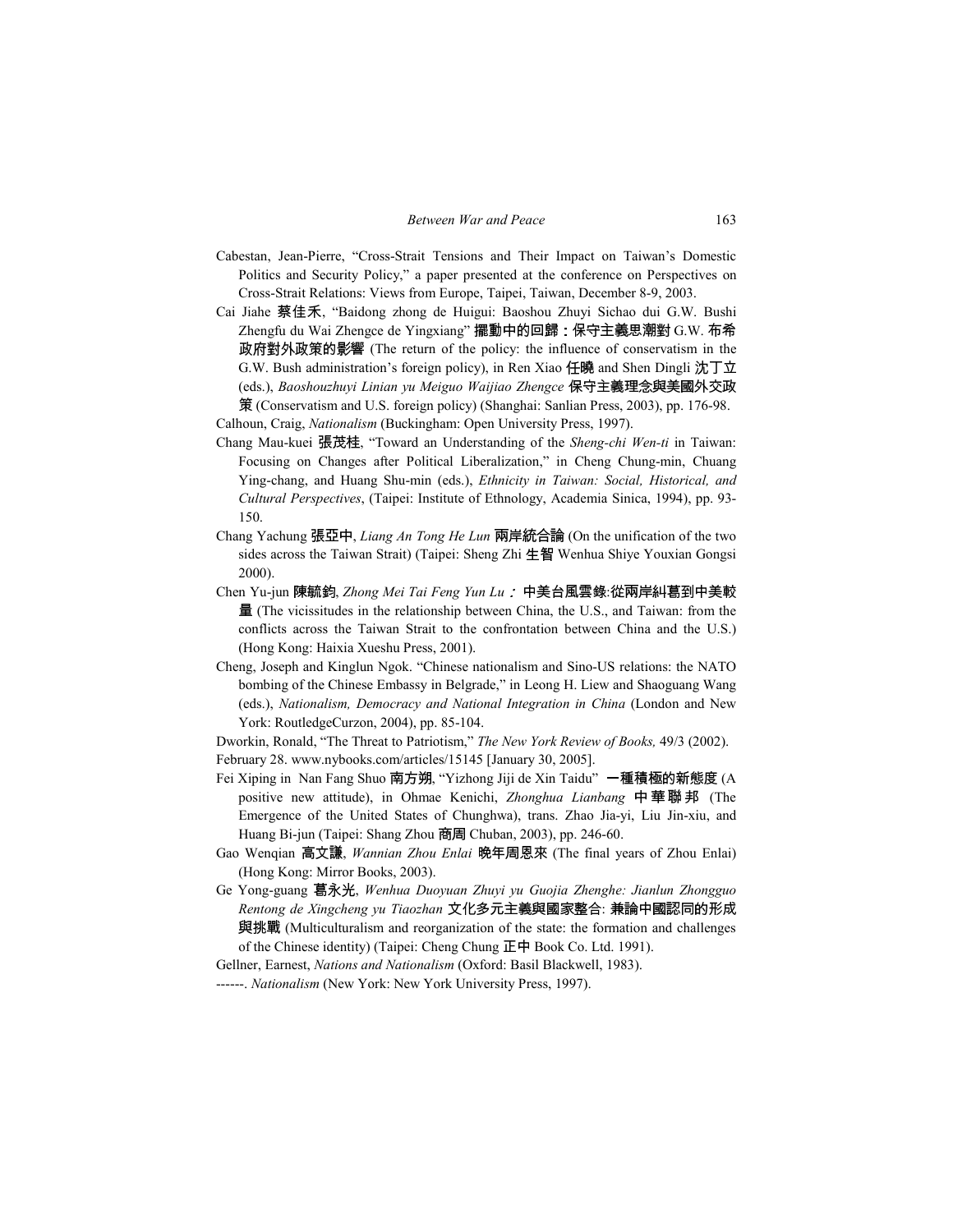- Cabestan, Jean-Pierre, "Cross-Strait Tensions and Their Impact on Taiwan's Domestic Politics and Security Policy," a paper presented at the conference on Perspectives on Cross-Strait Relations: Views from Europe, Taipei, Taiwan, December 8-9, 2003.
- Cai Jiahe 蔡佳禾, "Baidong zhong de Huigui: Baoshou Zhuyi Sichao dui G.W. Bushi Zhengfu du Wai Zhengce de Yingxiang" 擺動中的回歸: 保守主義思潮對 G.W. 布希 政府對外政策的影響 (The return of the policy: the influence of conservatism in the G.W. Bush administration's foreign policy), in Ren Xiao 任曉 and Shen Dingli 沈丁立 (eds.), *Baoshouzhuyi Linian yu Meiguo Waijiao Zhengce*  (Conservatism and U.S. foreign policy) (Shanghai: Sanlian Press, 2003), pp. 176-98.
- Calhoun, Craig, *Nationalism* (Buckingham: Open University Press, 1997).
- Chang Mau-kuei 張茂桂. "Toward an Understanding of the *Sheng-chi Wen-ti* in Taiwan: Focusing on Changes after Political Liberalization," in Cheng Chung-min, Chuang Ying-chang, and Huang Shu-min (eds.), *Ethnicity in Taiwan: Social, Historical, and Cultural Perspectives*, (Taipei: Institute of Ethnology, Academia Sinica, 1994), pp. 93- 150.
- Chang Yachung 張亞中, *Liang An Tong He Lun* 兩岸統合論 (On the unification of the two sides across the Taiwan Strait) (Taipei: Sheng Zhi 生智 Wenhua Shiye Youxian Gongsi 2000).
- Chen Yu-jun 陳毓鈞、*Zhong Mei Tai Feng Yun Lu :* 中美台風雲錄:從兩岸糾葛到中美較 量 (The vicissitudes in the relationship between China, the U.S., and Taiwan: from the conflicts across the Taiwan Strait to the confrontation between China and the U.S.) (Hong Kong: Haixia Xueshu Press, 2001).
- Cheng, Joseph and Kinglun Ngok. "Chinese nationalism and Sino-US relations: the NATO bombing of the Chinese Embassy in Belgrade," in Leong H. Liew and Shaoguang Wang (eds.), *Nationalism, Democracy and National Integration in China* (London and New York: RoutledgeCurzon, 2004), pp. 85-104.
- Dworkin, Ronald, "The Threat to Patriotism," *The New York Review of Books,* 49/3 (2002). February 28. www.nybooks.com/articles/15145 [January 30, 2005].
- Fei Xiping in Nan Fang Shuo 南方朔. "Yizhong Jiji de Xin Taidu" 一種積極的新態度 (A positive new attitude), in Ohmae Kenichi, *Zhonghua Lianbang* 中華聯邦 (The Emergence of the United States of Chunghwa), trans. Zhao Jia-yi, Liu Jin-xiu, and Huang Bi-jun (Taipei: Shang Zhou 商周 Chuban, 2003), pp. 246-60.
- Gao Wengian 高文謙, *Wannian Zhou Enlai* 晚年周恩來 (The final years of Zhou Enlai) (Hong Kong: Mirror Books, 2003).
- Ge Yong-guang 葛永光, *Wenhua Duoyuan Zhuyi yu Guojia Zhenghe: Jianlun Zhongguo Rentong de Xingcheng yu Tiaozhan* 文化多元主義與國家整合: 兼論中國認同的形成 與挑戰 (Multiculturalism and reorganization of the state: the formation and challenges of the Chinese identity) (Taipei: Cheng Chung  $E \oplus \text{Book Co.}$  Ltd. 1991).
- Gellner, Earnest, *Nations and Nationalism* (Oxford: Basil Blackwell, 1983).
- ------. *Nationalism* (New York: New York University Press, 1997).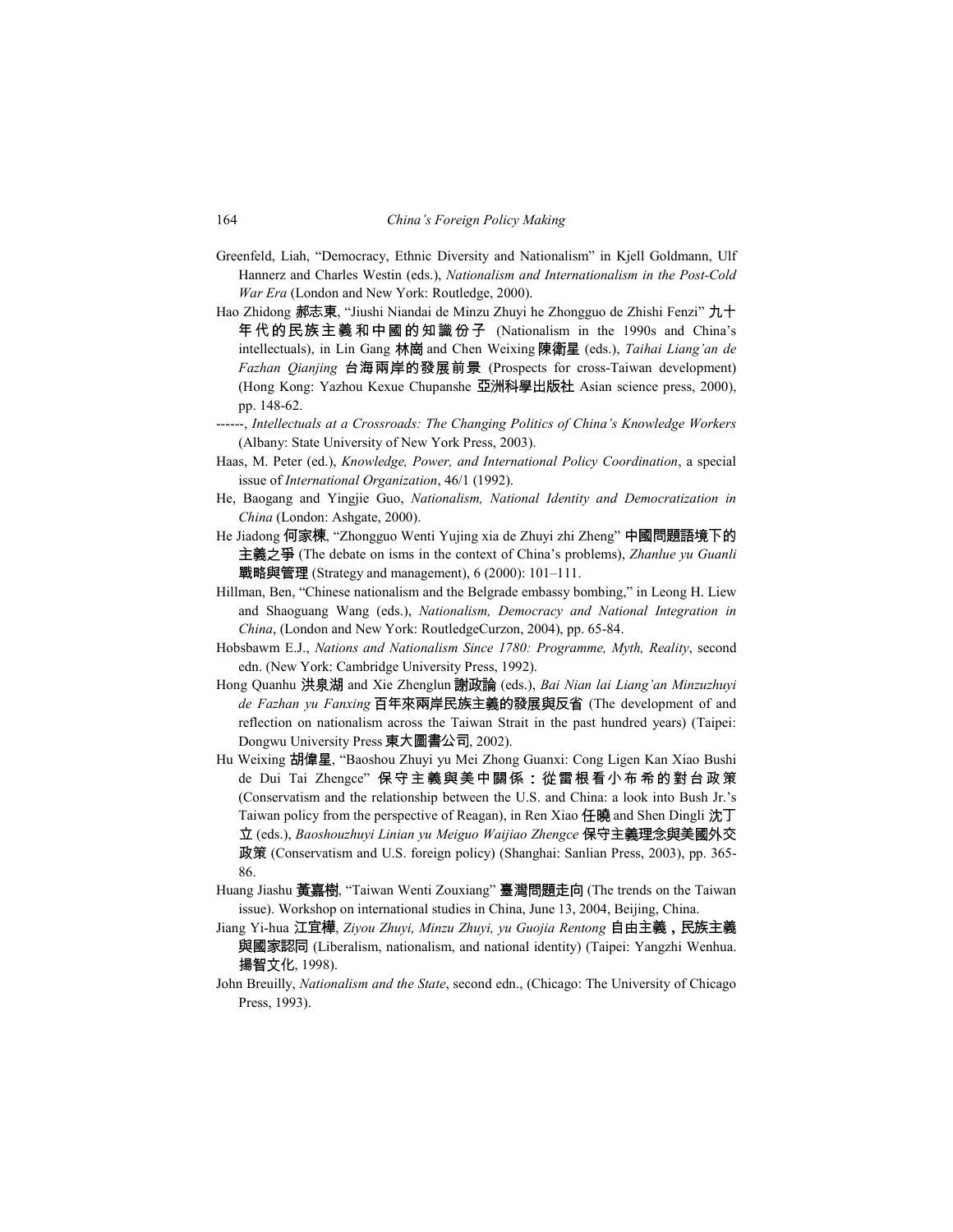- Greenfeld, Liah, "Democracy, Ethnic Diversity and Nationalism" in Kjell Goldmann, Ulf Hannerz and Charles Westin (eds.), *Nationalism and Internationalism in the Post-Cold War Era* (London and New York: Routledge, 2000).
- Hao Zhidong 郝志東, "Jiushi Niandai de Minzu Zhuvi he Zhongguo de Zhishi Fenzi" 九十 年代的民族主義和中國的知識份子 (Nationalism in the 1990s and China's intellectuals), in Lin Gang 林崗 and Chen Weixing 陳衛星 (eds.), *Taihai Liang'an de Fazhan Qianjing* 台海兩岸的發展前景 (Prospects for cross-Taiwan development) (Hong Kong: Yazhou Kexue Chupanshe 亞洲科學出版社 Asian science press, 2000), pp. 148-62.
- ------, *Intellectuals at a Crossroads: The Changing Politics of China's Knowledge Workers* (Albany: State University of New York Press, 2003).
- Haas, M. Peter (ed.), *Knowledge, Power, and International Policy Coordination*, a special issue of *International Organization*, 46/1 (1992).
- He, Baogang and Yingjie Guo, *Nationalism, National Identity and Democratization in China* (London: Ashgate, 2000).
- He Jiadong 何家棟. "Zhongguo Wenti Yujing xia de Zhuyi zhi Zheng" 中國問題語境下的 主義之爭 (The debate on isms in the context of China's problems), *Zhanlue yu Guanli* 戰略與管理 (Strategy and management), 6 (2000): 101-111.
- Hillman, Ben, "Chinese nationalism and the Belgrade embassy bombing," in Leong H. Liew and Shaoguang Wang (eds.), *Nationalism, Democracy and National Integration in China*, (London and New York: RoutledgeCurzon, 2004), pp. 65-84.
- Hobsbawm E.J., *Nations and Nationalism Since 1780: Programme, Myth, Reality*, second edn. (New York: Cambridge University Press, 1992).
- Hong Quanhu 洪泉湖 and Xie Zhenglun 謝政論 (eds.), *Bai Nian lai Liang'an Minzuzhuvi* de Fazhan yu Fanxing 百年來兩岸民族主義的發展與反省 (The development of and reflection on nationalism across the Taiwan Strait in the past hundred years) (Taipei: Dongwu University Press 東大圖書公司, 2002).
- Hu Weixing 胡偉星, "Baoshou Zhuyi yu Mei Zhong Guanxi: Cong Ligen Kan Xiao Bushi de Dui Tai Zhengce"保守主義與美中關係:從雷根看小布希的對台政策 (Conservatism and the relationship between the U.S. and China: a look into Bush Jr.'s Taiwan policy from the perspective of Reagan), in Ren Xiao 任曉 and Shen Dingli 沈丁 (eds.), *Baoshouzhuyi Linian yu Meiguo Waijiao Zhengce*  (Conservatism and U.S. foreign policy) (Shanghai: Sanlian Press, 2003), pp. 365- 86.
- Huang Jiashu 黃嘉樹, "Taiwan Wenti Zouxiang" 臺灣問題走向 (The trends on the Taiwan issue). Workshop on international studies in China, June 13, 2004, Beijing, China.
- Jiang Yi-hua , *Ziyou Zhuyi, Minzu Zhuyi, yu Guojia Rentong*  與國家認同 (Liberalism, nationalism, and national identity) (Taipei: Yangzhi Wenhua. 揚智文化, 1998).
- John Breuilly, *Nationalism and the State*, second edn., (Chicago: The University of Chicago Press, 1993).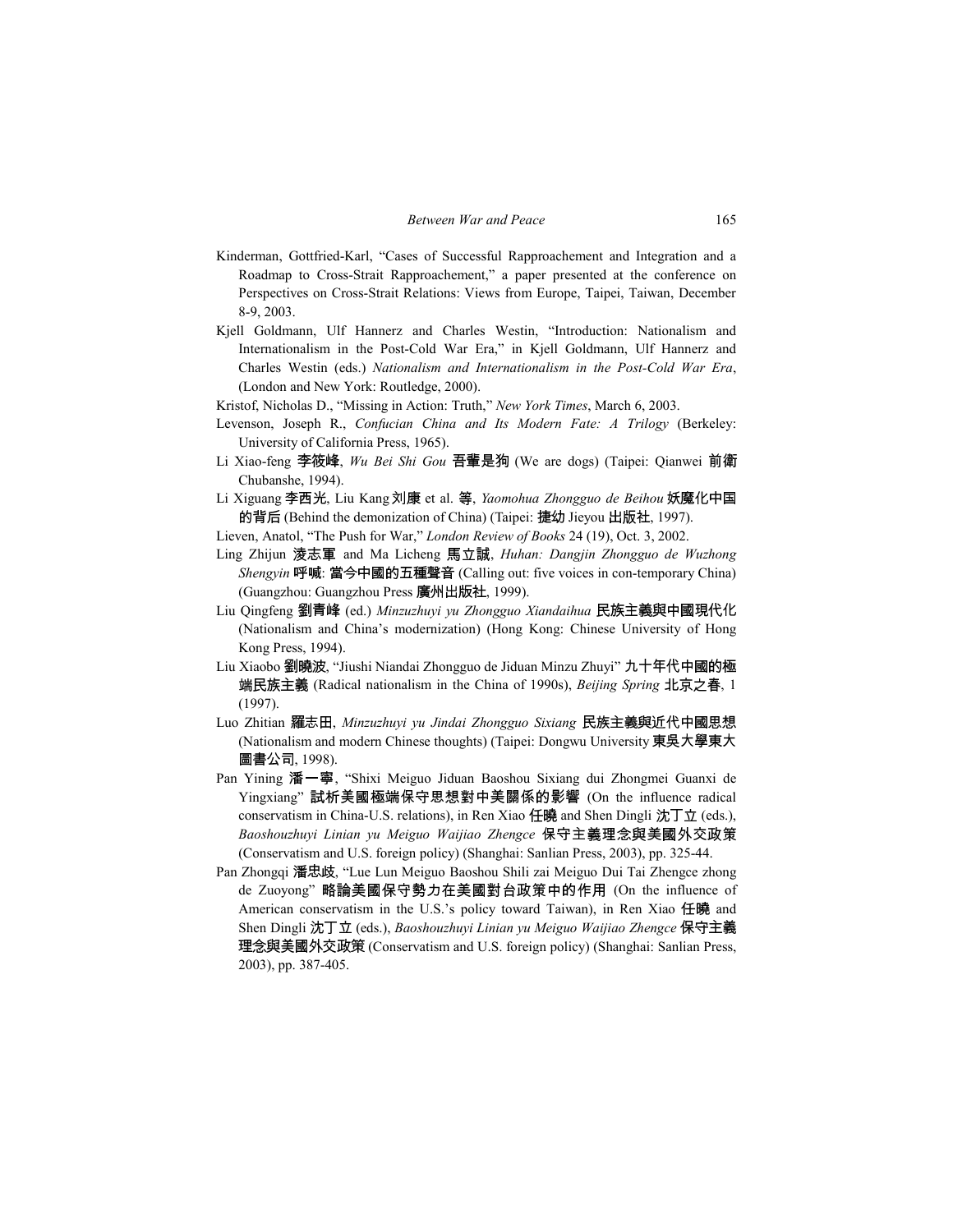- Kinderman, Gottfried-Karl, "Cases of Successful Rapproachement and Integration and a Roadmap to Cross-Strait Rapproachement," a paper presented at the conference on Perspectives on Cross-Strait Relations: Views from Europe, Taipei, Taiwan, December 8-9, 2003.
- Kjell Goldmann, Ulf Hannerz and Charles Westin, "Introduction: Nationalism and Internationalism in the Post-Cold War Era," in Kjell Goldmann, Ulf Hannerz and Charles Westin (eds.) *Nationalism and Internationalism in the Post-Cold War Era*, (London and New York: Routledge, 2000).
- Kristof, Nicholas D., "Missing in Action: Truth," *New York Times*, March 6, 2003.
- Levenson, Joseph R., *Confucian China and Its Modern Fate: A Trilogy* (Berkeley: University of California Press, 1965).
- Li Xiao-feng 李筱峰, Wu Bei Shi Gou 吾輩是狗 (We are dogs) (Taipei: Qianwei 前衛 Chubanshe, 1994).
- Li Xiguang 李西光, Liu Kang 刘康 et al. 等, *Yaomohua Zhongguo de Beihou* 妖魔化中国 的背后 (Behind the demonization of China) (Taipei: 捷幼 Jievou 出版社, 1997).
- Lieven, Anatol, "The Push for War," *London Review of Books* 24 (19), Oct. 3, 2002.
- Ling Zhijun 淩志軍 and Ma Licheng 馬立誠, *Huhan: Dangjin Zhongguo de Wuzhong Shengyin* 呼喊: 當今中國的五種聲音 (Calling out: five voices in con-temporary China) (Guangzhou: Guangzhou Press 廣州出版社, 1999).
- Liu Qingfeng (ed.) *Minzuzhuyi yu Zhongguo Xiandaihua*  (Nationalism and China's modernization) (Hong Kong: Chinese University of Hong Kong Press, 1994).
- Liu Xiaobo 劉曉波. "Jiushi Niandai Zhongguo de Jiduan Minzu Zhuyi" 九十年代中國的極 端民族主義 (Radical nationalism in the China of 1990s), *Beijing Spring* 北京之春, 1 (1997).
- Luo Zhitian , *Minzuzhuyi yu Jindai Zhongguo Sixiang*  (Nationalism and modern Chinese thoughts) (Taipei: Dongwu University 東吳大學東大 圖書公司, 1998).
- Pan Yining 潘一寧, "Shixi Meiguo Jiduan Baoshou Sixiang dui Zhongmei Guanxi de Yingxiang" 試析美國極端保守思想對中美關係的影響 (On the influence radical conservatism in China-U.S. relations), in Ren Xiao 任曉 and Shen Dingli 沈丁立 (eds.), *Baoshouzhuyi Linian yu Meiguo Waijiao Zhengce*  (Conservatism and U.S. foreign policy) (Shanghai: Sanlian Press, 2003), pp. 325-44.
- Pan Zhongqi 潘忠歧, "Lue Lun Meiguo Baoshou Shili zai Meiguo Dui Tai Zhengce zhong de Zuoyong" 略論美國保守勢力在美國對台政策中的作用 (On the influence of American conservatism in the U.S.'s policy toward Taiwan), in Ren Xiao 任曉 and Shen Dingli (eds.), *Baoshouzhuyi Linian yu Meiguo Waijiao Zhengce*  理念與美國外交政策 (Conservatism and U.S. foreign policy) (Shanghai: Sanlian Press, 2003), pp. 387-405.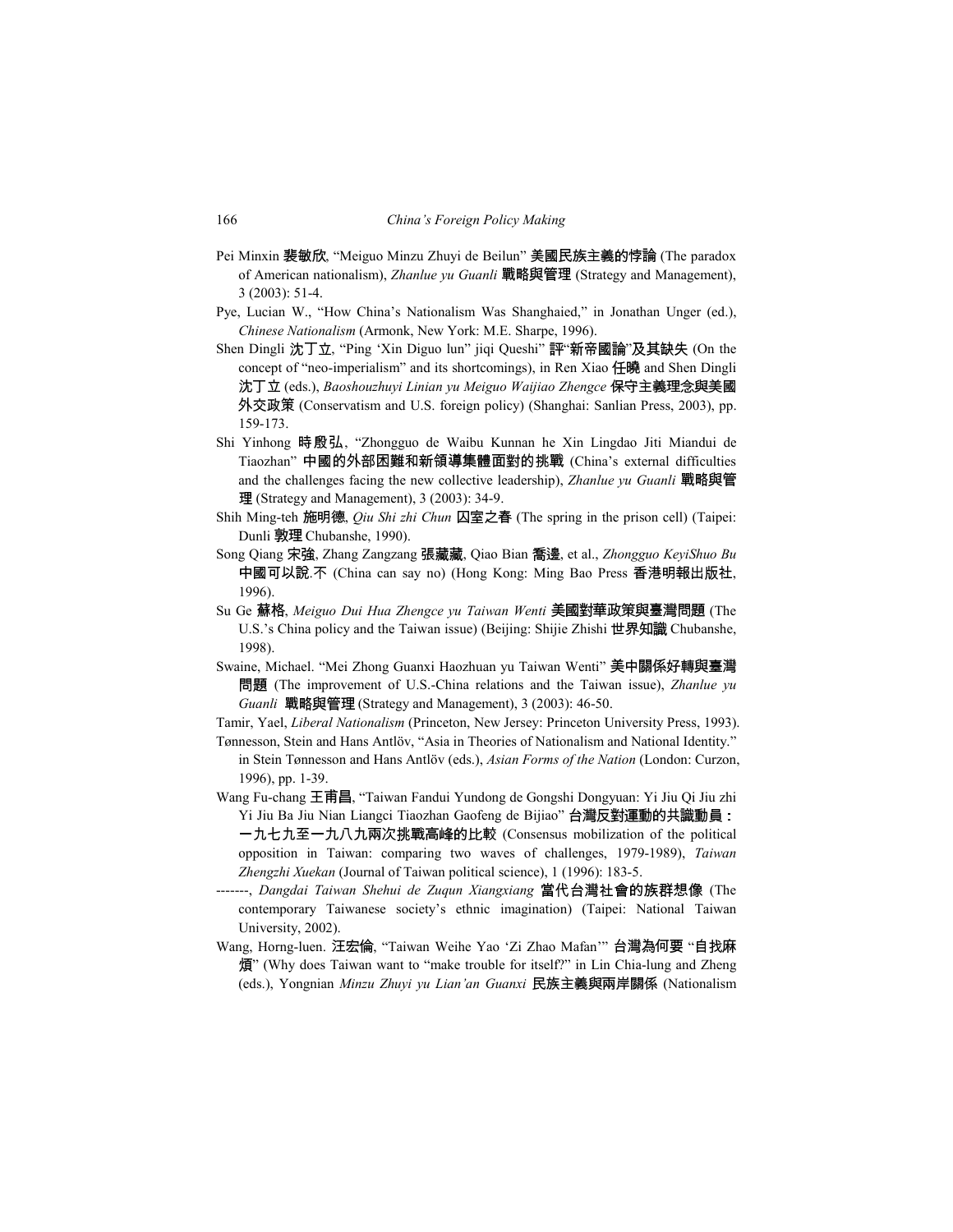- Pei Minxin 裴敏欣. "Meiguo Minzu Zhuyi de Beilun" 美國民族主義的悖論 (The paradox of American nationalism), *Zhanlue yu Guanli* 戰略與管理 (Strategy and Management), 3 (2003): 51-4.
- Pye, Lucian W., "How China's Nationalism Was Shanghaied," in Jonathan Unger (ed.), *Chinese Nationalism* (Armonk, New York: M.E. Sharpe, 1996).
- Shen Dingli 沈丁立, "Ping 'Xin Diguo lun" jiqi Queshi" 評"新帝國論"及其缺失 (On the concept of "neo-imperialism" and its shortcomings), in Ren Xiao  $\uparrow$   $\mathbb{R}$  and Shen Dingli (eds.), *Baoshouzhuyi Linian yu Meiguo Waijiao Zhengce*  外交政策 (Conservatism and U.S. foreign policy) (Shanghai: Sanlian Press, 2003), pp. 159-173.
- Shi Yinhong 時殷弘, "Zhongguo de Waibu Kunnan he Xin Lingdao Jiti Miandui de Tiaozhan" 中國的外部困難和新領導集體面對的挑戰 (China's external difficulties and the challenges facing the new collective leadership), *Zhanlue yu Guanli*  (Strategy and Management), 3 (2003): 34-9.
- Shih Ming-teh 施明德, *Oiu Shi zhi Chun* 囚室之春 (The spring in the prison cell) (Taipei: Dunli 敦理 Chubanshe, 1990).
- Song Qiang 宋強, Zhang Zangzang 張藏藏, Qiao Bian 喬邊, et al., *Zhongguo KeyiShuo Bu* 中國可以說.不 (China can say no) (Hong Kong: Ming Bao Press 香港明報出版社, 1996).
- Su Ge 蘇格, Meiguo Dui Hua Zhengce yu Taiwan Wenti 美國對華政策與臺灣問題 (The U.S.'s China policy and the Taiwan issue) (Beijing: Shijie Zhishi 世界知識 Chubanshe, 1998).
- Swaine, Michael. "Mei Zhong Guanxi Haozhuan yu Taiwan Wenti" (The improvement of U.S.-China relations and the Taiwan issue), *Zhanlue yu Guanli* 戰略與管理 (Strategy and Management), 3 (2003): 46-50.

Tamir, Yael, *Liberal Nationalism* (Princeton, New Jersey: Princeton University Press, 1993).

- Tønnesson, Stein and Hans Antlöv, "Asia in Theories of Nationalism and National Identity." in Stein Tønnesson and Hans Antlöv (eds.), *Asian Forms of the Nation* (London: Curzon, 1996), pp. 1-39.
- Wang Fu-chang 王甫昌, "Taiwan Fandui Yundong de Gongshi Dongyuan: Yi Jiu Qi Jiu zhi Yi Jiu Ba Jiu Nian Liangci Tiaozhan Gaofeng de Bijiao" 台灣反對運動的共識動員: 一九七九至一九八九兩次挑戰高峰的比較 (Consensus mobilization of the political opposition in Taiwan: comparing two waves of challenges, 1979-1989), *Taiwan Zhengzhi Xuekan* (Journal of Taiwan political science), 1 (1996): 183-5.
- -------, *Dangdai Taiwan Shehui de Zuqun Xiangxiang* 當代台灣社會的族群想像 (The contemporary Taiwanese society's ethnic imagination) (Taipei: National Taiwan University, 2002).
- Wang, Horng-luen. 汪宏倫. "Taiwan Weihe Yao 'Zi Zhao Mafan'" 台灣為何要 "自找麻 " (Why does Taiwan want to "make trouble for itself?" in Lin Chia-lung and Zheng (eds.), Yongnian Minzu Zhuyi yu Lian'an Guanxi 民族主義與兩岸關係 (Nationalism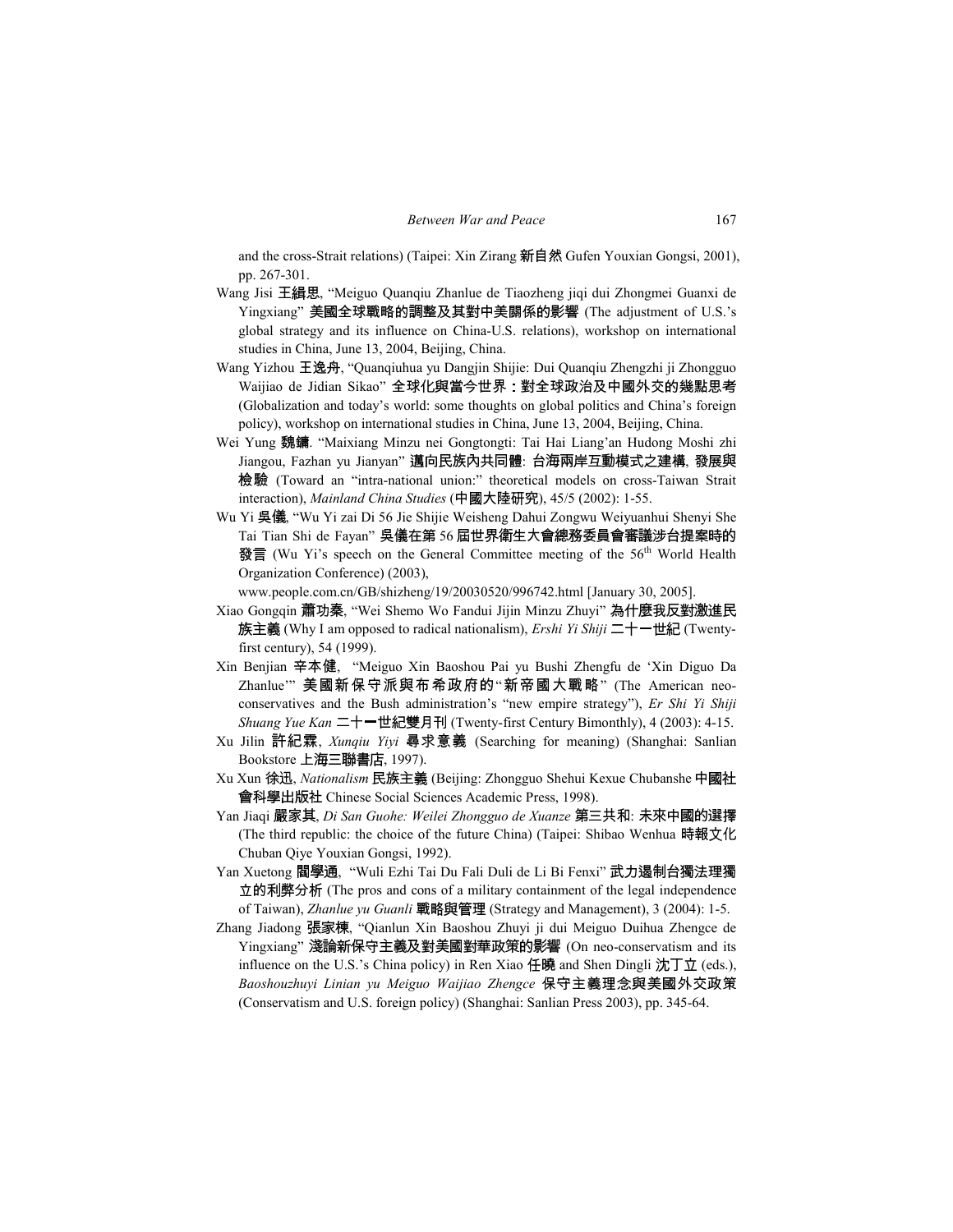and the cross-Strait relations) (Taipei: Xin Zirang 新自然 Gufen Youxian Gongsi, 2001), pp. 267-301.

- Wang Jisi 王緝思, "Meiguo Quanqiu Zhanlue de Tiaozheng jiqi dui Zhongmei Guanxi de Yingxiang" 美國全球戰略的調整及其對中美關係的影響 (The adjustment of U.S.'s global strategy and its influence on China-U.S. relations), workshop on international studies in China, June 13, 2004, Beijing, China.
- Wang Yizhou 王逸舟, "Quanqiuhua yu Dangjin Shijie: Dui Quanqiu Zhengzhi ji Zhongguo Waijiao de Jidian Sikao"全球化與當今世界:對全球政治及中國外交的幾點思考 (Globalization and today's world: some thoughts on global politics and China's foreign policy), workshop on international studies in China, June 13, 2004, Beijing, China.
- Wei Yung 魏鏞. "Maixiang Minzu nei Gongtongti: Tai Hai Liang'an Hudong Moshi zhi Jiangou, Fazhan yu Jianyan" 邁向民族內共同體: 台海兩岸互動模式之建構, 發展與 檢驗 (Toward an "intra-national union:" theoretical models on cross-Taiwan Strait interaction), *Mainland China Studies* (中國大陸研究), 45/5 (2002): 1-55.
- Wu Yi 吳儀, "Wu Yi zai Di 56 Jie Shijie Weisheng Dahui Zongwu Weiyuanhui Shenyi She Tai Tian Shi de Fayan" 吳儀在第 56 屆世界衛生大會總務委員會審議涉台提案時的 發言 (Wu Yi's speech on the General Committee meeting of the  $56<sup>th</sup>$  World Health Organization Conference) (2003),

www.people.com.cn/GB/shizheng/19/20030520/996742.html [January 30, 2005].

- Xiao Gongqin 蕭功秦, "Wei Shemo Wo Fandui Jijin Minzu Zhuyi" 為什麼我反對激進民 族主義 (Why I am opposed to radical nationalism), *Ershi Yi Shiji* 二十一世紀 (Twentyfirst century), 54 (1999).
- Xin Benjian 辛本健, "Meiguo Xin Baoshou Pai yu Bushi Zhengfu de 'Xin Diguo Da Zhanlue'" 美國新保守派與布希政府的"新帝國大戰略" (The American neoconservatives and the Bush administration's "new empire strategy"), *Er Shi Yi Shiji Shuang Yue Kan* 二十一世紀雙月刊 (Twenty-first Century Bimonthly), 4 (2003): 4-15.
- Xu Jilin 許紀霖, *Xunqiu Yiyi* 尋求意義 (Searching for meaning) (Shanghai: Sanlian Bookstore 上海三聯書店, 1997).
- Xu Xun 徐迅, *Nationalism* 民族主義 (Beijing: Zhongguo Shehui Kexue Chubanshe 中國社 會科學出版社 Chinese Social Sciences Academic Press, 1998).
- Yan Jiaqi 嚴家其, *Di San Guohe: Weilei Zhongguo de Xuanze* 第三共和: 未來中國的選擇 (The third republic: the choice of the future China) (Taipei: Shibao Wenhua Chuban Qiye Youxian Gongsi, 1992).
- Yan Xuetong 閻學通, "Wuli Ezhi Tai Du Fali Duli de Li Bi Fenxi" 武力遏制台獨法理獨 立的利弊分析 (The pros and cons of a military containment of the legal independence of Taiwan), *Zhanlue yu Guanli* 戰略與管理 (Strategy and Management), 3 (2004): 1-5.
- Zhang Jiadong 張家棟, "Oianlun Xin Baoshou Zhuyi ji dui Meiguo Duihua Zhengce de Yingxiang" 淺論新保守主義及對美國對華政策的影響 (On neo-conservatism and its influence on the U.S.'s China policy) in Ren Xiao 任曉 and Shen Dingli 沈丁立 (eds.), *Baoshouzhuyi Linian yu Meiguo Waijiao Zhengce*  (Conservatism and U.S. foreign policy) (Shanghai: Sanlian Press 2003), pp. 345-64.